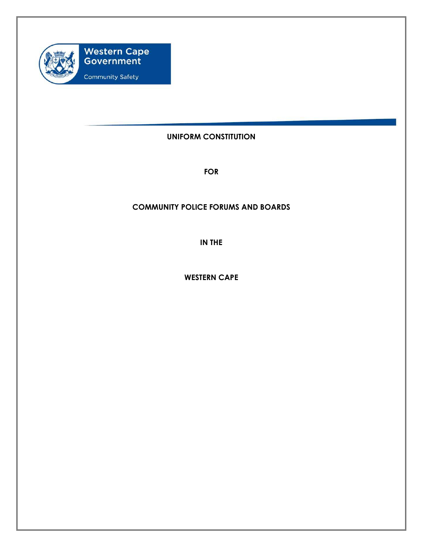

## **UNIFORM CONSTITUTION**

**FOR** 

## **COMMUNITY POLICE FORUMS AND BOARDS**

**IN THE** 

**WESTERN CAPE**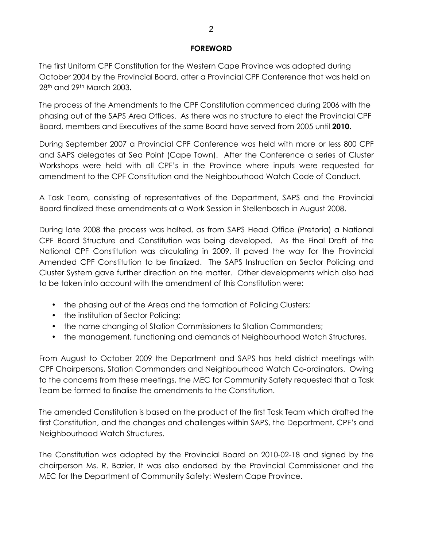## **FOREWORD**

The first Uniform CPF Constitution for the Western Cape Province was adopted during October 2004 by the Provincial Board, after a Provincial CPF Conference that was held on 28th and 29th March 2003.

The process of the Amendments to the CPF Constitution commenced during 2006 with the phasing out of the SAPS Area Offices. As there was no structure to elect the Provincial CPF Board, members and Executives of the same Board have served from 2005 until **2010.**

During September 2007 a Provincial CPF Conference was held with more or less 800 CPF and SAPS delegates at Sea Point (Cape Town). After the Conference a series of Cluster Workshops were held with all CPF's in the Province where inputs were requested for amendment to the CPF Constitution and the Neighbourhood Watch Code of Conduct.

A Task Team, consisting of representatives of the Department, SAPS and the Provincial Board finalized these amendments at a Work Session in Stellenbosch in August 2008.

During late 2008 the process was halted, as from SAPS Head Office (Pretoria) a National CPF Board Structure and Constitution was being developed. As the Final Draft of the National CPF Constitution was circulating in 2009, it paved the way for the Provincial Amended CPF Constitution to be finalized. The SAPS Instruction on Sector Policing and Cluster System gave further direction on the matter. Other developments which also had to be taken into account with the amendment of this Constitution were:

- the phasing out of the Areas and the formation of Policing Clusters;
- the institution of Sector Policing;
- the name changing of Station Commissioners to Station Commanders;
- the management, functioning and demands of Neighbourhood Watch Structures.

From August to October 2009 the Department and SAPS has held district meetings with CPF Chairpersons, Station Commanders and Neighbourhood Watch Co-ordinators. Owing to the concerns from these meetings, the MEC for Community Safety requested that a Task Team be formed to finalise the amendments to the Constitution.

The amended Constitution is based on the product of the first Task Team which drafted the first Constitution, and the changes and challenges within SAPS, the Department, CPF's and Neighbourhood Watch Structures.

The Constitution was adopted by the Provincial Board on 2010-02-18 and signed by the chairperson Ms. R. Bazier. It was also endorsed by the Provincial Commissioner and the MEC for the Department of Community Safety: Western Cape Province.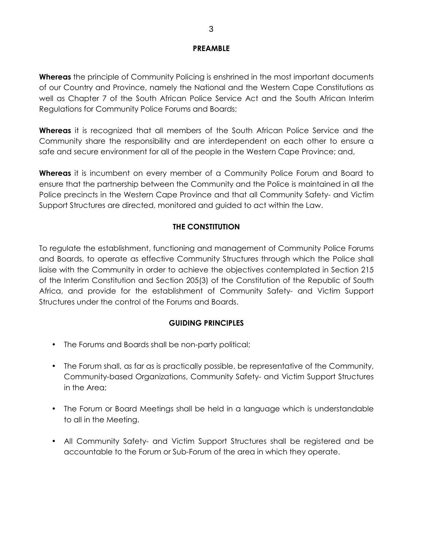## **PREAMBLE**

**Whereas** the principle of Community Policing is enshrined in the most important documents of our Country and Province, namely the National and the Western Cape Constitutions as well as Chapter 7 of the South African Police Service Act and the South African Interim Regulations for Community Police Forums and Boards;

**Whereas** it is recognized that all members of the South African Police Service and the Community share the responsibility and are interdependent on each other to ensure a safe and secure environment for all of the people in the Western Cape Province; and,

**Whereas** it is incumbent on every member of a Community Police Forum and Board to ensure that the partnership between the Community and the Police is maintained in all the Police precincts in the Western Cape Province and that all Community Safety- and Victim Support Structures are directed, monitored and guided to act within the Law.

## **THE CONSTITUTION**

To regulate the establishment, functioning and management of Community Police Forums and Boards, to operate as effective Community Structures through which the Police shall liaise with the Community in order to achieve the objectives contemplated in Section 215 of the Interim Constitution and Section 205(3) of the Constitution of the Republic of South Africa, and provide for the establishment of Community Safety- and Victim Support Structures under the control of the Forums and Boards.

## **GUIDING PRINCIPLES**

- The Forums and Boards shall be non-party political;
- The Forum shall, as far as is practically possible, be representative of the Community, Community-based Organizations, Community Safety- and Victim Support Structures in the Area;
- The Forum or Board Meetings shall be held in a language which is understandable to all in the Meeting.
- All Community Safety- and Victim Support Structures shall be registered and be accountable to the Forum or Sub-Forum of the area in which they operate.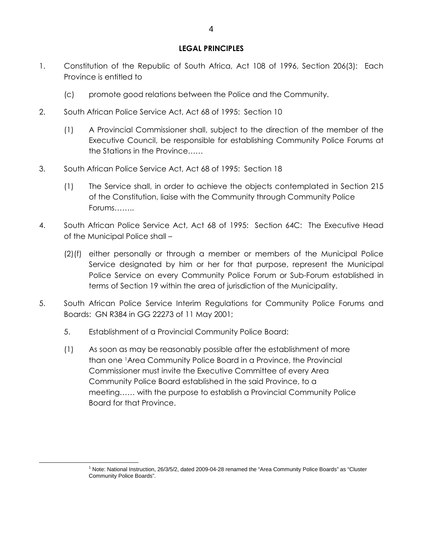### **LEGAL PRINCIPLES**

- 1. Constitution of the Republic of South Africa, Act 108 of 1996, Section 206(3): Each Province is entitled to
	- (c) promote good relations between the Police and the Community.
- 2. South African Police Service Act, Act 68 of 1995: Section 10
	- (1) A Provincial Commissioner shall, subject to the direction of the member of the Executive Council, be responsible for establishing Community Police Forums at the Stations in the Province……
- 3. South African Police Service Act, Act 68 of 1995: Section 18
	- (1) The Service shall, in order to achieve the objects contemplated in Section 215 of the Constitution, liaise with the Community through Community Police Forums……..
- 4. South African Police Service Act, Act 68 of 1995: Section 64C: The Executive Head of the Municipal Police shall –
	- (2)(f) either personally or through a member or members of the Municipal Police Service designated by him or her for that purpose, represent the Municipal Police Service on every Community Police Forum or Sub-Forum established in terms of Section 19 within the area of jurisdiction of the Municipality.
- 5. South African Police Service Interim Regulations for Community Police Forums and Boards: GN R384 in GG 22273 of 11 May 2001;
	- 5. Establishment of a Provincial Community Police Board:

 $\overline{a}$ 

(1) As soon as may be reasonably possible after the establishment of more than one 1Area Community Police Board in a Province, the Provincial Commissioner must invite the Executive Committee of every Area Community Police Board established in the said Province, to a meeting…… with the purpose to establish a Provincial Community Police Board for that Province.

<sup>&</sup>lt;sup>1</sup> Note: National Instruction, 26/3/5/2, dated 2009-04-28 renamed the "Area Community Police Boards" as "Cluster Community Police Boards".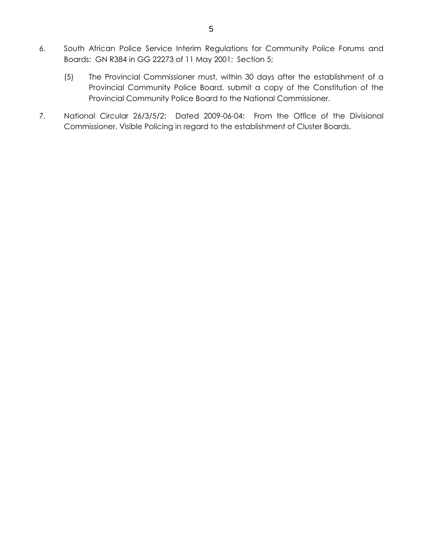- 6. South African Police Service Interim Regulations for Community Police Forums and Boards: GN R384 in GG 22273 of 11 May 2001; Section 5;
	- (5) The Provincial Commissioner must, within 30 days after the establishment of a Provincial Community Police Board, submit a copy of the Constitution of the Provincial Community Police Board to the National Commissioner.
- 7. National Circular 26/3/5/2: Dated 2009-06-04: From the Office of the Divisional Commissioner, Visible Policing in regard to the establishment of Cluster Boards.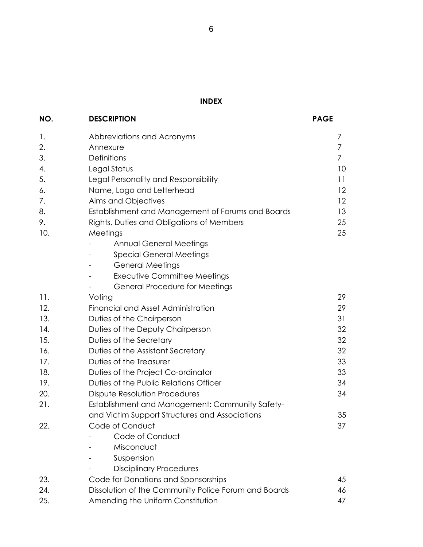# **INDEX**

| NO. | <b>DESCRIPTION</b>                                         | <b>PAGE</b> |  |  |  |
|-----|------------------------------------------------------------|-------------|--|--|--|
| 1.  | Abbreviations and Acronyms                                 | 7           |  |  |  |
| 2.  | Annexure                                                   |             |  |  |  |
| 3.  | Definitions                                                |             |  |  |  |
| 4.  | Legal Status                                               |             |  |  |  |
| 5.  | Legal Personality and Responsibility                       |             |  |  |  |
| 6.  | 12<br>Name, Logo and Letterhead                            |             |  |  |  |
| 7.  | Aims and Objectives<br>$12 \overline{ }$                   |             |  |  |  |
| 8.  | Establishment and Management of Forums and Boards<br>13    |             |  |  |  |
| 9.  | Rights, Duties and Obligations of Members<br>25            |             |  |  |  |
| 10. | Meetings                                                   | 25          |  |  |  |
|     | <b>Annual General Meetings</b>                             |             |  |  |  |
|     | <b>Special General Meetings</b>                            |             |  |  |  |
|     | <b>General Meetings</b>                                    |             |  |  |  |
|     | <b>Executive Committee Meetings</b>                        |             |  |  |  |
|     | <b>General Procedure for Meetings</b>                      |             |  |  |  |
| 11. | 29<br>Voting                                               |             |  |  |  |
| 12. | Financial and Asset Administration                         |             |  |  |  |
| 13. | Duties of the Chairperson                                  |             |  |  |  |
| 14. | Duties of the Deputy Chairperson                           |             |  |  |  |
| 15. | 32<br>Duties of the Secretary                              |             |  |  |  |
| 16. | 32<br>Duties of the Assistant Secretary                    |             |  |  |  |
| 17. | Duties of the Treasurer<br>33                              |             |  |  |  |
| 18. | 33<br>Duties of the Project Co-ordinator                   |             |  |  |  |
| 19. | Duties of the Public Relations Officer<br>34               |             |  |  |  |
| 20. | 34<br><b>Dispute Resolution Procedures</b>                 |             |  |  |  |
| 21. | Establishment and Management: Community Safety-            |             |  |  |  |
|     | and Victim Support Structures and Associations             | 35          |  |  |  |
| 22. | Code of Conduct                                            | 37          |  |  |  |
|     | Code of Conduct                                            |             |  |  |  |
|     | Misconduct                                                 |             |  |  |  |
|     | Suspension                                                 |             |  |  |  |
|     | <b>Disciplinary Procedures</b>                             |             |  |  |  |
| 23. | Code for Donations and Sponsorships<br>45                  |             |  |  |  |
| 24. | Dissolution of the Community Police Forum and Boards<br>46 |             |  |  |  |
| 25. | Amending the Uniform Constitution<br>47                    |             |  |  |  |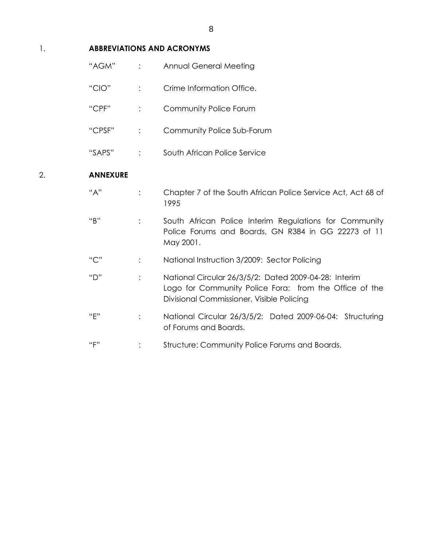## 1. **ABBREVIATIONS AND ACRONYMS**

|    | "AGM"           | $\ddot{\cdot}$ | <b>Annual General Meeting</b>                                                                                                                                |
|----|-----------------|----------------|--------------------------------------------------------------------------------------------------------------------------------------------------------------|
|    | "CIO"           | $\ddot{\cdot}$ | Crime Information Office.                                                                                                                                    |
|    | "CPF"           | $\vdots$       | Community Police Forum                                                                                                                                       |
|    | "CPSF"          | $\ddot{\cdot}$ | Community Police Sub-Forum                                                                                                                                   |
|    | "SAPS"          | $\ddot{\cdot}$ | South African Police Service                                                                                                                                 |
| 2. | <b>ANNEXURE</b> |                |                                                                                                                                                              |
|    | "A"             | $\ddot{\cdot}$ | Chapter 7 of the South African Police Service Act, Act 68 of<br>1995                                                                                         |
|    | "B"             | $\vdots$       | South African Police Interim Regulations for Community<br>Police Forums and Boards, GN R384 in GG 22273 of 11<br>May 2001.                                   |
|    | "C"             | :              | National Instruction 3/2009: Sector Policing                                                                                                                 |
|    | "D"             | $\ddot{\cdot}$ | National Circular 26/3/5/2: Dated 2009-04-28: Interim<br>Logo for Community Police Fora: from the Office of the<br>Divisional Commissioner, Visible Policing |
|    | "F"             | $\ddot{\cdot}$ | National Circular 26/3/5/2: Dated 2009-06-04: Structuring<br>of Forums and Boards.                                                                           |
|    | "F"             |                | Structure: Community Police Forums and Boards.                                                                                                               |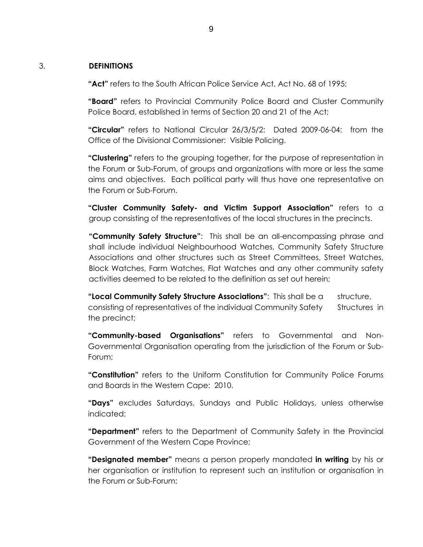#### 3. **DEFINITIONS**

**"Act"** refers to the South African Police Service Act, Act No. 68 of 1995;

**"Board"** refers to Provincial Community Police Board and Cluster Community Police Board, established in terms of Section 20 and 21 of the Act;

**"Circular"** refers to National Circular 26/3/5/2: Dated 2009-06-04: from the Office of the Divisional Commissioner: Visible Policing.

**"Clustering"** refers to the grouping together, for the purpose of representation in the Forum or Sub-Forum, of groups and organizations with more or less the same aims and objectives. Each political party will thus have one representative on the Forum or Sub-Forum.

**"Cluster Community Safety- and Victim Support Association"** refers to a group consisting of the representatives of the local structures in the precincts.

**"Community Safety Structure"**: This shall be an all-encompassing phrase and shall include individual Neighbourhood Watches, Community Safety Structure Associations and other structures such as Street Committees, Street Watches, Block Watches, Farm Watches, Flat Watches and any other community safety activities deemed to be related to the definition as set out herein;

**"Local Community Safety Structure Associations"**: This shall be a structure, consisting of representatives of the individual Community Safety Structures in the precinct;

**"Community-based Organisations"** refers to Governmental and Non-Governmental Organisation operating from the jurisdiction of the Forum or Sub-Forum;

**"Constitution"** refers to the Uniform Constitution for Community Police Forums and Boards in the Western Cape: 2010.

**"Days"** excludes Saturdays, Sundays and Public Holidays, unless otherwise indicated;

**"Department"** refers to the Department of Community Safety in the Provincial Government of the Western Cape Province;

**"Designated member"** means a person properly mandated **in writing** by his or her organisation or institution to represent such an institution or organisation in the Forum or Sub-Forum;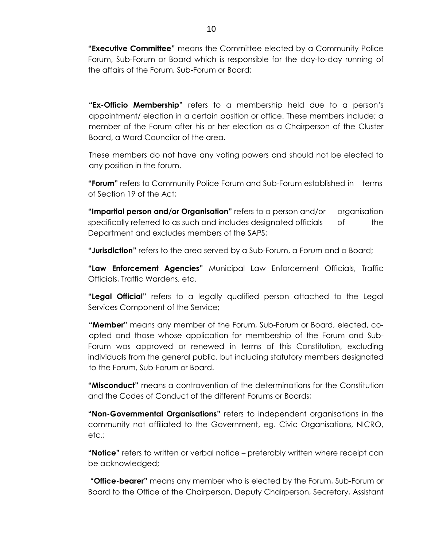**"Executive Committee"** means the Committee elected by a Community Police Forum, Sub-Forum or Board which is responsible for the day-to-day running of the affairs of the Forum, Sub-Forum or Board;

**"Ex-Officio Membership"** refers to a membership held due to a person's appointment/ election in a certain position or office. These members include; a member of the Forum after his or her election as a Chairperson of the Cluster Board, a Ward Councilor of the area.

These members do not have any voting powers and should not be elected to any position in the forum.

**"Forum"** refers to Community Police Forum and Sub-Forum established in terms of Section 19 of the Act;

**"Impartial person and/or Organisation"** refers to a person and/or organisation specifically referred to as such and includes designated officials of the Department and excludes members of the SAPS;

**"Jurisdiction"** refers to the area served by a Sub-Forum, a Forum and a Board;

**"Law Enforcement Agencies"** Municipal Law Enforcement Officials, Traffic Officials, Traffic Wardens, etc.

**"Legal Official"** refers to a legally qualified person attached to the Legal Services Component of the Service;

**"Member"** means any member of the Forum, Sub-Forum or Board, elected, co opted and those whose application for membership of the Forum and Sub-Forum was approved or renewed in terms of this Constitution, excluding individuals from the general public, but including statutory members designated to the Forum, Sub-Forum or Board.

**"Misconduct"** means a contravention of the determinations for the Constitution and the Codes of Conduct of the different Forums or Boards;

**"Non-Governmental Organisations"** refers to independent organisations in the community not affiliated to the Government, eg. Civic Organisations, NICRO, etc.;

**"Notice"** refers to written or verbal notice – preferably written where receipt can be acknowledged;

**"Office-bearer"** means any member who is elected by the Forum, Sub-Forum or Board to the Office of the Chairperson, Deputy Chairperson, Secretary, Assistant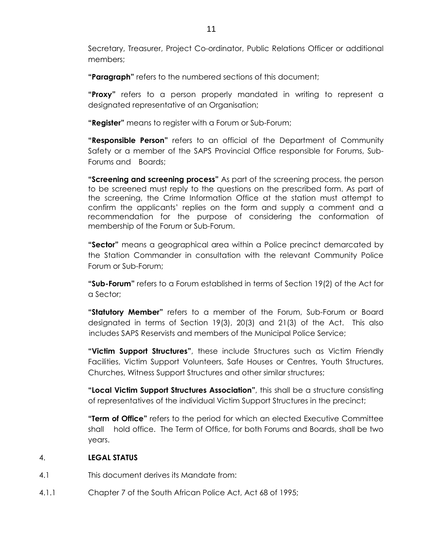Secretary, Treasurer, Project Co-ordinator, Public Relations Officer or additional members;

**"Paragraph"** refers to the numbered sections of this document;

**"Proxy"** refers to a person properly mandated in writing to represent a designated representative of an Organisation;

**"Register"** means to register with a Forum or Sub-Forum;

**"Responsible Person"** refers to an official of the Department of Community Safety or a member of the SAPS Provincial Office responsible for Forums, Sub-Forums and Boards;

**"Screening and screening process"** As part of the screening process, the person to be screened must reply to the questions on the prescribed form. As part of the screening, the Crime Information Office at the station must attempt to confirm the applicants' replies on the form and supply a comment and a recommendation for the purpose of considering the conformation of membership of the Forum or Sub-Forum.

**"Sector"** means a geographical area within a Police precinct demarcated by the Station Commander in consultation with the relevant Community Police Forum or Sub-Forum;

**"Sub-Forum"** refers to a Forum established in terms of Section 19(2) of the Act for a Sector;

**"Statutory Member"** refers to a member of the Forum, Sub-Forum or Board designated in terms of Section 19(3), 20(3) and 21(3) of the Act. This also includes SAPS Reservists and members of the Municipal Police Service;

**"Victim Support Structures"**, these include Structures such as Victim Friendly Facilities, Victim Support Volunteers, Safe Houses or Centres, Youth Structures, Churches, Witness Support Structures and other similar structures;

**"Local Victim Support Structures Association"**, this shall be a structure consisting of representatives of the individual Victim Support Structures in the precinct;

**"Term of Office"** refers to the period for which an elected Executive Committee shall hold office. The Term of Office, for both Forums and Boards, shall be two years.

## 4. **LEGAL STATUS**

- 4.1 This document derives its Mandate from:
- 4.1.1 Chapter 7 of the South African Police Act, Act 68 of 1995;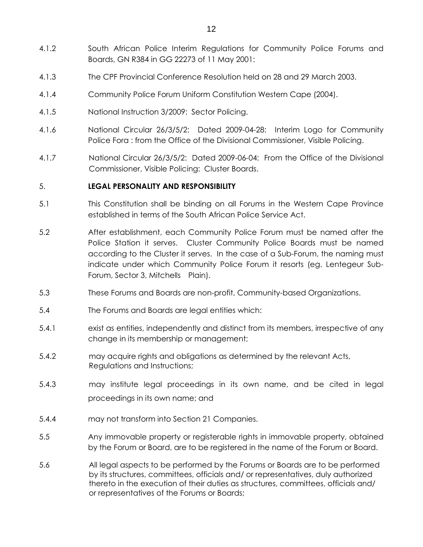- 4.1.2 South African Police Interim Regulations for Community Police Forums and Boards, GN R384 in GG 22273 of 11 May 2001:
- 4.1.3 The CPF Provincial Conference Resolution held on 28 and 29 March 2003.
- 4.1.4 Community Police Forum Uniform Constitution Western Cape (2004).
- 4.1.5 National Instruction 3/2009: Sector Policing.
- 4.1.6 National Circular 26/3/5/2: Dated 2009-04-28: Interim Logo for Community Police Fora : from the Office of the Divisional Commissioner, Visible Policing.
- 4.1.7 National Circular 26/3/5/2: Dated 2009-06-04: From the Office of the Divisional Commissioner, Visible Policing: Cluster Boards.

### 5. **LEGAL PERSONALITY AND RESPONSIBILITY**

- 5.1 This Constitution shall be binding on all Forums in the Western Cape Province established in terms of the South African Police Service Act.
- 5.2 After establishment, each Community Police Forum must be named after the Police Station it serves. Cluster Community Police Boards must be named according to the Cluster it serves. In the case of a Sub-Forum, the naming must indicate under which Community Police Forum it resorts (eg. Lentegeur Sub-Forum, Sector 3, Mitchells Plain).
- 5.3 These Forums and Boards are non-profit, Community-based Organizations.
- 5.4 The Forums and Boards are legal entities which:
- 5.4.1 exist as entities, independently and distinct from its members, irrespective of any change in its membership or management;
- 5.4.2 may acquire rights and obligations as determined by the relevant Acts, Regulations and Instructions;
- 5.4.3 may institute legal proceedings in its own name, and be cited in legal proceedings in its own name; and
- 5.4.4 may not transform into Section 21 Companies.
- 5.5 Any immovable property or registerable rights in immovable property, obtained by the Forum or Board, are to be registered in the name of the Forum or Board.
- 5.6 All legal aspects to be performed by the Forums or Boards are to be performed by its structures, committees, officials and/ or representatives, duly authorized thereto in the execution of their duties as structures, committees, officials and/ or representatives of the Forums or Boards;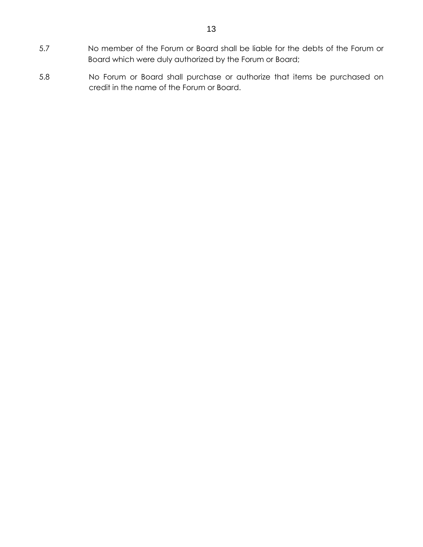- 5.7 No member of the Forum or Board shall be liable for the debts of the Forum or Board which were duly authorized by the Forum or Board;
- 5.8 No Forum or Board shall purchase or authorize that items be purchased on credit in the name of the Forum or Board.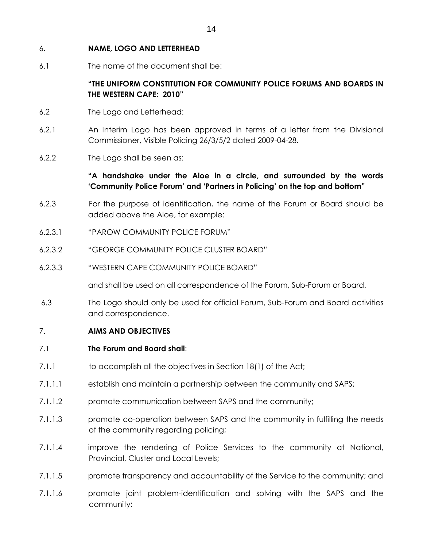## 6. **NAME, LOGO AND LETTERHEAD**

6.1 The name of the document shall be:

## **"THE UNIFORM CONSTITUTION FOR COMMUNITY POLICE FORUMS AND BOARDS IN THE WESTERN CAPE: 2010"**

- 6.2 The Logo and Letterhead:
- 6.2.1 An Interim Logo has been approved in terms of a letter from the Divisional Commissioner, Visible Policing 26/3/5/2 dated 2009-04-28.
- 6.2.2 The Logo shall be seen as:

## **"A handshake under the Aloe in a circle, and surrounded by the words 'Community Police Forum' and 'Partners in Policing' on the top and bottom"**

- 6.2.3 For the purpose of identification, the name of the Forum or Board should be added above the Aloe, for example:
- 6.2.3.1 "PAROW COMMUNITY POLICE FORUM"
- 6.2.3.2 "GEORGE COMMUNITY POLICE CLUSTER BOARD"
- 6.2.3.3 "WESTERN CAPE COMMUNITY POLICE BOARD"

and shall be used on all correspondence of the Forum, Sub-Forum or Board.

 6.3 The Logo should only be used for official Forum, Sub-Forum and Board activities and correspondence.

## 7. **AIMS AND OBJECTIVES**

- 7.1 **The Forum and Board shall**:
- 7.1.1 to accomplish all the objectives in Section 18(1) of the Act;
- 7.1.1.1 establish and maintain a partnership between the community and SAPS;
- 7.1.1.2 promote communication between SAPS and the community;
- 7.1.1.3 promote co-operation between SAPS and the community in fulfilling the needs of the community regarding policing;
- 7.1.1.4 improve the rendering of Police Services to the community at National, Provincial, Cluster and Local Levels;
- 7.1.1.5 promote transparency and accountability of the Service to the community; and
- 7.1.1.6 promote joint problem-identification and solving with the SAPS and the community;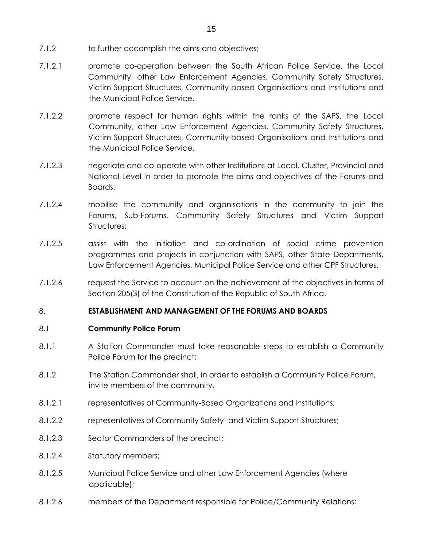- 7.1.2 to further accomplish the aims and objectives;
- 7.1.2.1 promote co-operation between the South African Police Service, the Local Community, other Law Enforcement Agencies, Community Safety Structures, Victim Support Structures, Community-based Organisations and Institutions and the Municipal Police Service.
- 7.1.2.2 promote respect for human rights within the ranks of the SAPS, the Local Community, other Law Enforcement Agencies, Community Safety Structures, Victim Support Structures, Community-based Organisations and Institutions and the Municipal Police Service.
- 7.1.2.3 negotiate and co-operate with other Institutions at Local, Cluster, Provincial and National Level in order to promote the aims and objectives of the Forums and Boards.
- 7.1.2.4 mobilise the community and organisations in the community to join the Forums, Sub-Forums, Community Safety Structures and Victim Support Structures:
- 7.1.2.5 assist with the initiation and co-ordination of social crime prevention programmes and projects in conjunction with SAPS, other State Departments, Law Enforcement Agencies, Municipal Police Service and other CPF Structures.
- 7.1.2.6 request the Service to account on the achievement of the objectives in terms of Section 205(3) of the Constitution of the Republic of South Africa.

### 8. **ESTABLISHMENT AND MANAGEMENT OF THE FORUMS AND BOARDS**

### 8.1 **Community Police Forum**

- 8.1.1 A Station Commander must take reasonable steps to establish a Community Police Forum for the precinct;
- 8.1.2 The Station Commander shall, in order to establish a Community Police Forum, invite members of the community,
- 8.1.2.1 representatives of Community-Based Organizations and Institutions;
- 8.1.2.2 representatives of Community Safety- and Victim Support Structures;
- 8.1.2.3 Sector Commanders of the precinct;
- 8.1.2.4 Statutory members;
- 8.1.2.5 Municipal Police Service and other Law Enforcement Agencies (where applicable);
- 8.1.2.6 members of the Department responsible for Police/Community Relations;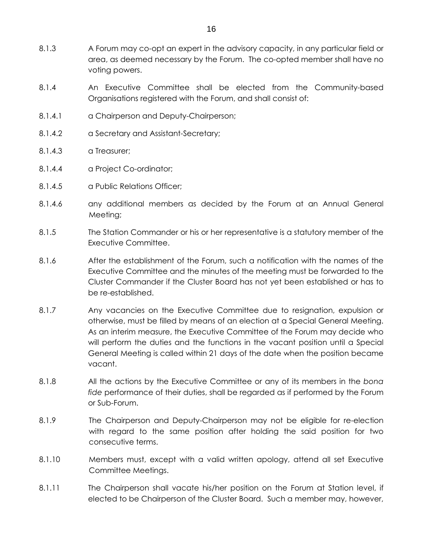- 8.1.3 A Forum may co-opt an expert in the advisory capacity, in any particular field or area, as deemed necessary by the Forum. The co-opted member shall have no voting powers.
- 8.1.4 An Executive Committee shall be elected from the Community-based Organisations registered with the Forum, and shall consist of:
- 8.1.4.1 a Chairperson and Deputy-Chairperson;
- 8.1.4.2 a Secretary and Assistant-Secretary;
- 8.1.4.3 a Treasurer;
- 8.1.4.4 a Project Co-ordinator;
- 8.1.4.5 a Public Relations Officer;
- 8.1.4.6 any additional members as decided by the Forum at an Annual General Meeting;
- 8.1.5 The Station Commander or his or her representative is a statutory member of the Executive Committee.
- 8.1.6 After the establishment of the Forum, such a notification with the names of the Executive Committee and the minutes of the meeting must be forwarded to the Cluster Commander if the Cluster Board has not yet been established or has to be re-established.
- 8.1.7 Any vacancies on the Executive Committee due to resignation, expulsion or otherwise, must be filled by means of an election at a Special General Meeting. As an interim measure, the Executive Committee of the Forum may decide who will perform the duties and the functions in the vacant position until a Special General Meeting is called within 21 days of the date when the position became vacant.
- 8.1.8 All the actions by the Executive Committee or any of its members in the *bona fide* performance of their duties, shall be regarded as if performed by the Forum or Sub-Forum.
- 8.1.9 The Chairperson and Deputy-Chairperson may not be eligible for re-election with regard to the same position after holding the said position for two consecutive terms.
- 8.1.10 Members must, except with a valid written apology, attend all set Executive Committee Meetings.
- 8.1.11 The Chairperson shall vacate his/her position on the Forum at Station level, if elected to be Chairperson of the Cluster Board. Such a member may, however,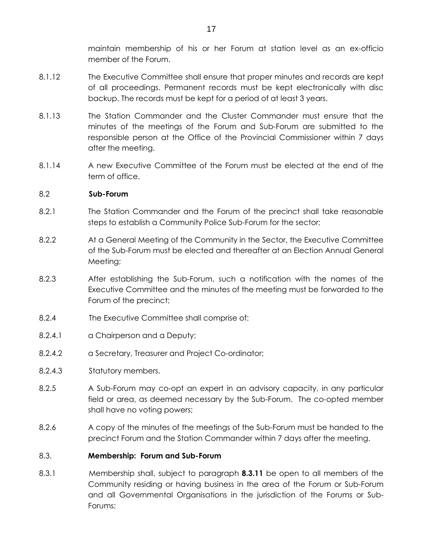maintain membership of his or her Forum at station level as an ex-officio member of the Forum.

- 8.1.12 The Executive Committee shall ensure that proper minutes and records are kept of all proceedings. Permanent records must be kept electronically with disc backup. The records must be kept for a period of at least 3 years.
- 8.1.13 The Station Commander and the Cluster Commander must ensure that the minutes of the meetings of the Forum and Sub-Forum are submitted to the responsible person at the Office of the Provincial Commissioner within 7 days after the meeting.
- 8.1.14 A new Executive Committee of the Forum must be elected at the end of the term of office.

### 8.2 **Sub-Forum**

- 8.2.1 The Station Commander and the Forum of the precinct shall take reasonable steps to establish a Community Police Sub-Forum for the sector;
- 8.2.2 At a General Meeting of the Community in the Sector, the Executive Committee of the Sub-Forum must be elected and thereafter at an Election Annual General Meeting;
- 8.2.3 After establishing the Sub-Forum, such a notification with the names of the Executive Committee and the minutes of the meeting must be forwarded to the Forum of the precinct;
- 8.2.4 The Executive Committee shall comprise of:
- 8.2.4.1 a Chairperson and a Deputy;
- 8.2.4.2 a Secretary, Treasurer and Project Co-ordinator;
- 8.2.4.3 Statutory members.
- 8.2.5 A Sub-Forum may co-opt an expert in an advisory capacity, in any particular field or area, as deemed necessary by the Sub-Forum. The co-opted member shall have no voting powers;
- 8.2.6 A copy of the minutes of the meetings of the Sub-Forum must be handed to the precinct Forum and the Station Commander within 7 days after the meeting.

## 8.3. **Membership: Forum and Sub-Forum**

8.3.1 Membership shall, subject to paragraph **8.3.11** be open to all members of the Community residing or having business in the area of the Forum or Sub-Forum and all Governmental Organisations in the jurisdiction of the Forums or Sub-Forums;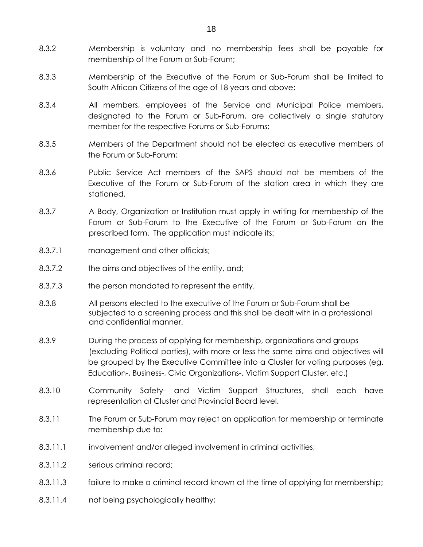- 8.3.2 Membership is voluntary and no membership fees shall be payable for membership of the Forum or Sub-Forum;
- 8.3.3 Membership of the Executive of the Forum or Sub-Forum shall be limited to South African Citizens of the age of 18 years and above;
- 8.3.4 All members, employees of the Service and Municipal Police members, designated to the Forum or Sub-Forum, are collectively a single statutory member for the respective Forums or Sub-Forums;
- 8.3.5 Members of the Department should not be elected as executive members of the Forum or Sub-Forum;
- 8.3.6 Public Service Act members of the SAPS should not be members of the Executive of the Forum or Sub-Forum of the station area in which they are stationed.
- 8.3.7 A Body, Organization or Institution must apply in writing for membership of the Forum or Sub-Forum to the Executive of the Forum or Sub-Forum on the prescribed form. The application must indicate its:
- 8.3.7.1 management and other officials;
- 8.3.7.2 the aims and objectives of the entity, and;
- 8.3.7.3 the person mandated to represent the entity.
- 8.3.8 All persons elected to the executive of the Forum or Sub-Forum shall be subjected to a screening process and this shall be dealt with in a professional and confidential manner.
- 8.3.9 During the process of applying for membership, organizations and groups (excluding Political parties), with more or less the same aims and objectives will be grouped by the Executive Committee into a Cluster for voting purposes (eg. Education-, Business-, Civic Organizations-, Victim Support Cluster, etc.)
- 8.3.10 Community Safety- and Victim Support Structures, shall each have representation at Cluster and Provincial Board level.
- 8.3.11 The Forum or Sub-Forum may reject an application for membership or terminate membership due to:
- 8.3.11.1 involvement and/or alleged involvement in criminal activities;
- 8.3.11.2 serious criminal record;
- 8.3.11.3 failure to make a criminal record known at the time of applying for membership;
- 8.3.11.4 not being psychologically healthy;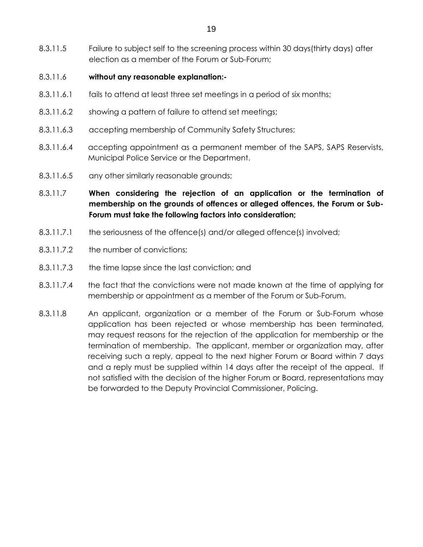8.3.11.5 Failure to subject self to the screening process within 30 days(thirty days) after election as a member of the Forum or Sub-Forum;

### 8.3.11.6 **without any reasonable explanation:-**

- 8.3.11.6.1 fails to attend at least three set meetings in a period of six months;
- 8.3.11.6.2 showing a pattern of failure to attend set meetings;
- 8.3.11.6.3 accepting membership of Community Safety Structures;
- 8.3.11.6.4 accepting appointment as a permanent member of the SAPS, SAPS Reservists, Municipal Police Service or the Department.
- 8.3.11.6.5 any other similarly reasonable grounds;
- 8.3.11.7 **When considering the rejection of an application or the termination of membership on the grounds of offences or alleged offences, the Forum or Sub-Forum must take the following factors into consideration;**
- 8.3.11.7.1 the seriousness of the offence(s) and/or alleged offence(s) involved;
- 8.3.11.7.2 the number of convictions;
- 8.3.11.7.3 the time lapse since the last conviction; and
- 8.3.11.7.4 the fact that the convictions were not made known at the time of applying for membership or appointment as a member of the Forum or Sub-Forum.
- 8.3.11.8 An applicant, organization or a member of the Forum or Sub-Forum whose application has been rejected or whose membership has been terminated, may request reasons for the rejection of the application for membership or the termination of membership. The applicant, member or organization may, after receiving such a reply, appeal to the next higher Forum or Board within 7 days and a reply must be supplied within 14 days after the receipt of the appeal. If not satisfied with the decision of the higher Forum or Board, representations may be forwarded to the Deputy Provincial Commissioner, Policing.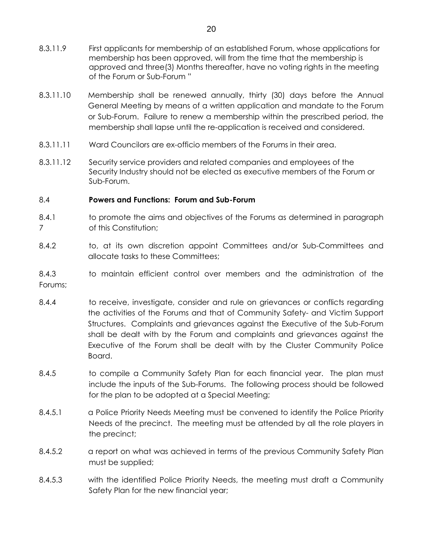- 8.3.11.9 First applicants for membership of an established Forum, whose applications for membership has been approved, will from the time that the membership is approved and three(3) Months thereafter, have no voting rights in the meeting of the Forum or Sub-Forum "
- 8.3.11.10 Membership shall be renewed annually, thirty (30) days before the Annual General Meeting by means of a written application and mandate to the Forum or Sub-Forum. Failure to renew a membership within the prescribed period, the membership shall lapse until the re-application is received and considered.
- 8.3.11.11 Ward Councilors are ex-officio members of the Forums in their area.
- 8.3.11.12 Security service providers and related companies and employees of the Security Industry should not be elected as executive members of the Forum or Sub-Forum.

## 8.4 **Powers and Functions: Forum and Sub-Forum**

- 8.4.1 to promote the aims and objectives of the Forums as determined in paragraph 7 of this Constitution;
- 8.4.2 to, at its own discretion appoint Committees and/or Sub-Committees and allocate tasks to these Committees;
- 8.4.3 to maintain efficient control over members and the administration of the Forums;
- 8.4.4 to receive, investigate, consider and rule on grievances or conflicts regarding the activities of the Forums and that of Community Safety- and Victim Support Structures. Complaints and grievances against the Executive of the Sub-Forum shall be dealt with by the Forum and complaints and grievances against the Executive of the Forum shall be dealt with by the Cluster Community Police Board.
- 8.4.5 to compile a Community Safety Plan for each financial year. The plan must include the inputs of the Sub-Forums. The following process should be followed for the plan to be adopted at a Special Meeting;
- 8.4.5.1 a Police Priority Needs Meeting must be convened to identify the Police Priority Needs of the precinct. The meeting must be attended by all the role players in the precinct;
- 8.4.5.2 a report on what was achieved in terms of the previous Community Safety Plan must be supplied;
- 8.4.5.3 with the identified Police Priority Needs, the meeting must draft a Community Safety Plan for the new financial year;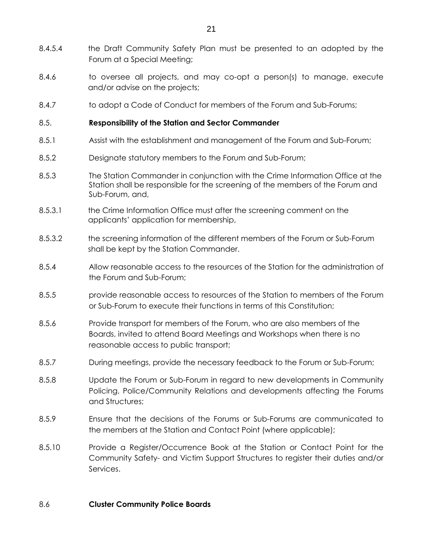- 8.4.5.4 the Draft Community Safety Plan must be presented to an adopted by the Forum at a Special Meeting;
- 8.4.6 to oversee all projects, and may co-opt a person(s) to manage, execute and/or advise on the projects;
- 8.4.7 to adopt a Code of Conduct for members of the Forum and Sub-Forums;

### 8.5. **Responsibility of the Station and Sector Commander**

- 8.5.1 Assist with the establishment and management of the Forum and Sub-Forum;
- 8.5.2 Designate statutory members to the Forum and Sub-Forum;
- 8.5.3 The Station Commander in conjunction with the Crime Information Office at the Station shall be responsible for the screening of the members of the Forum and Sub-Forum, and,
- 8.5.3.1 the Crime Information Office must after the screening comment on the applicants' application for membership,
- 8.5.3.2 the screening information of the different members of the Forum or Sub-Forum shall be kept by the Station Commander.
- 8.5.4 Allow reasonable access to the resources of the Station for the administration of the Forum and Sub-Forum;
- 8.5.5 provide reasonable access to resources of the Station to members of the Forum or Sub-Forum to execute their functions in terms of this Constitution;
- 8.5.6 Provide transport for members of the Forum, who are also members of the Boards, invited to attend Board Meetings and Workshops when there is no reasonable access to public transport;
- 8.5.7 During meetings, provide the necessary feedback to the Forum or Sub-Forum;
- 8.5.8 Update the Forum or Sub-Forum in regard to new developments in Community Policing, Police/Community Relations and developments affecting the Forums and Structures;
- 8.5.9 Ensure that the decisions of the Forums or Sub-Forums are communicated to the members at the Station and Contact Point (where applicable);
- 8.5.10 Provide a Register/Occurrence Book at the Station or Contact Point for the Community Safety- and Victim Support Structures to register their duties and/or Services.

### 8.6 **Cluster Community Police Boards**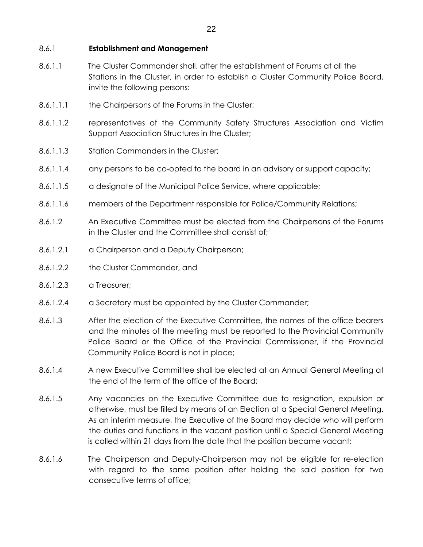#### 8.6.1 **Establishment and Management**

- 8.6.1.1 The Cluster Commander shall, after the establishment of Forums at all the Stations in the Cluster, in order to establish a Cluster Community Police Board, invite the following persons:
- 8.6.1.1.1 the Chairpersons of the Forums in the Cluster;
- 8.6.1.1.2 representatives of the Community Safety Structures Association and Victim Support Association Structures in the Cluster;
- 8.6.1.1.3 Station Commanders in the Cluster;
- 8.6.1.1.4 any persons to be co-opted to the board in an advisory or support capacity;
- 8.6.1.1.5 a designate of the Municipal Police Service, where applicable;
- 8.6.1.1.6 members of the Department responsible for Police/Community Relations;
- 8.6.1.2 An Executive Committee must be elected from the Chairpersons of the Forums in the Cluster and the Committee shall consist of;
- 8.6.1.2.1 a Chairperson and a Deputy Chairperson;
- 8.6.1.2.2 the Cluster Commander, and
- 8.6.1.2.3 a Treasurer;
- 8.6.1.2.4 a Secretary must be appointed by the Cluster Commander;
- 8.6.1.3 After the election of the Executive Committee, the names of the office bearers and the minutes of the meeting must be reported to the Provincial Community Police Board or the Office of the Provincial Commissioner, if the Provincial Community Police Board is not in place;
- 8.6.1.4 A new Executive Committee shall be elected at an Annual General Meeting at the end of the term of the office of the Board;
- 8.6.1.5 Any vacancies on the Executive Committee due to resignation, expulsion or otherwise, must be filled by means of an Election at a Special General Meeting. As an interim measure, the Executive of the Board may decide who will perform the duties and functions in the vacant position until a Special General Meeting is called within 21 days from the date that the position became vacant;
- 8.6.1.6 The Chairperson and Deputy-Chairperson may not be eligible for re-election with regard to the same position after holding the said position for two consecutive terms of office;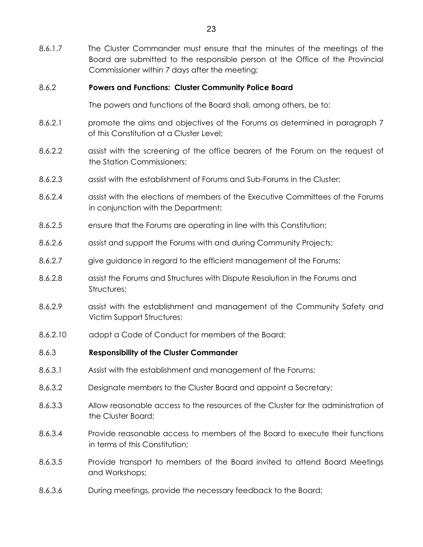8.6.1.7 The Cluster Commander must ensure that the minutes of the meetings of the Board are submitted to the responsible person at the Office of the Provincial Commissioner within 7 days after the meeting;

#### 8.6.2 **Powers and Functions: Cluster Community Police Board**

The powers and functions of the Board shall, among others, be to:

- 8.6.2.1 promote the aims and objectives of the Forums as determined in paragraph 7 of this Constitution at a Cluster Level;
- 8.6.2.2 assist with the screening of the office bearers of the Forum on the request of the Station Commissioners;
- 8.6.2.3 assist with the establishment of Forums and Sub-Forums in the Cluster;
- 8.6.2.4 assist with the elections of members of the Executive Committees of the Forums in conjunction with the Department;
- 8.6.2.5 ensure that the Forums are operating in line with this Constitution;
- 8.6.2.6 assist and support the Forums with and during Community Projects;
- 8.6.2.7 give guidance in regard to the efficient management of the Forums;
- 8.6.2.8 assist the Forums and Structures with Dispute Resolution in the Forums and Structures;
- 8.6.2.9 assist with the establishment and management of the Community Safety and Victim Support Structures;
- 8.6.2.10 adopt a Code of Conduct for members of the Board;
- 8.6.3 **Responsibility of the Cluster Commander**
- 8.6.3.1 Assist with the establishment and management of the Forums;
- 8.6.3.2 Designate members to the Cluster Board and appoint a Secretary;
- 8.6.3.3 Allow reasonable access to the resources of the Cluster for the administration of the Cluster Board;
- 8.6.3.4 Provide reasonable access to members of the Board to execute their functions in terms of this Constitution;
- 8.6.3.5 Provide transport to members of the Board invited to attend Board Meetings and Workshops;
- 8.6.3.6 During meetings, provide the necessary feedback to the Board;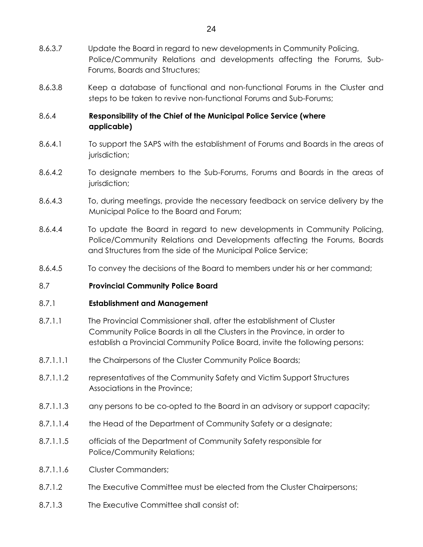- 8.6.3.7 Update the Board in regard to new developments in Community Policing, Police/Community Relations and developments affecting the Forums, Sub-Forums, Boards and Structures;
- 8.6.3.8 Keep a database of functional and non-functional Forums in the Cluster and steps to be taken to revive non-functional Forums and Sub-Forums;

## 8.6.4 **Responsibility of the Chief of the Municipal Police Service (where applicable)**

- 8.6.4.1 To support the SAPS with the establishment of Forums and Boards in the areas of jurisdiction;
- 8.6.4.2 To designate members to the Sub-Forums, Forums and Boards in the areas of jurisdiction;
- 8.6.4.3 To, during meetings, provide the necessary feedback on service delivery by the Municipal Police to the Board and Forum;
- 8.6.4.4 To update the Board in regard to new developments in Community Policing, Police/Community Relations and Developments affecting the Forums, Boards and Structures from the side of the Municipal Police Service;
- 8.6.4.5 To convey the decisions of the Board to members under his or her command;

### 8.7 **Provincial Community Police Board**

### 8.7.1 **Establishment and Management**

- 8.7.1.1 The Provincial Commissioner shall, after the establishment of Cluster Community Police Boards in all the Clusters in the Province, in order to establish a Provincial Community Police Board, invite the following persons:
- 8.7.1.1.1 the Chairpersons of the Cluster Community Police Boards;
- 8.7.1.1.2 representatives of the Community Safety and Victim Support Structures Associations in the Province;
- 8.7.1.1.3 any persons to be co-opted to the Board in an advisory or support capacity;
- 8.7.1.1.4 the Head of the Department of Community Safety or a designate;
- 8.7.1.1.5 officials of the Department of Community Safety responsible for Police/Community Relations;
- 8.7.1.1.6 Cluster Commanders;
- 8.7.1.2 The Executive Committee must be elected from the Cluster Chairpersons;
- 8.7.1.3 The Executive Committee shall consist of: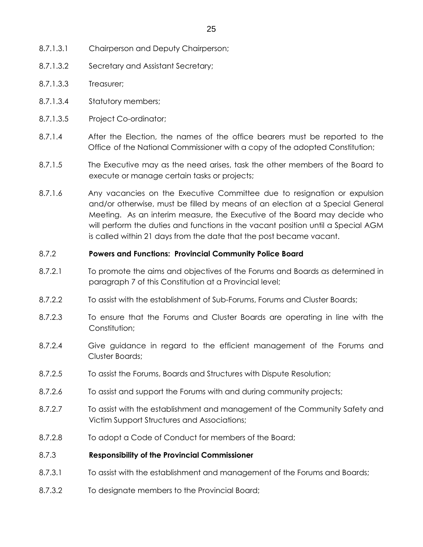- 8.7.1.3.1 Chairperson and Deputy Chairperson;
- 8.7.1.3.2 Secretary and Assistant Secretary;
- 8.7.1.3.3 Treasurer;
- 8.7.1.3.4 Statutory members;
- 8.7.1.3.5 Project Co-ordinator;
- 8.7.1.4 After the Election, the names of the office bearers must be reported to the Office of the National Commissioner with a copy of the adopted Constitution;
- 8.7.1.5 The Executive may as the need arises, task the other members of the Board to execute or manage certain tasks or projects;
- 8.7.1.6 Any vacancies on the Executive Committee due to resignation or expulsion and/or otherwise, must be filled by means of an election at a Special General Meeting. As an interim measure, the Executive of the Board may decide who will perform the duties and functions in the vacant position until a Special AGM is called within 21 days from the date that the post became vacant.

#### 8.7.2 **Powers and Functions: Provincial Community Police Board**

- 8.7.2.1 To promote the aims and objectives of the Forums and Boards as determined in paragraph 7 of this Constitution at a Provincial level;
- 8.7.2.2 To assist with the establishment of Sub-Forums, Forums and Cluster Boards;
- 8.7.2.3 To ensure that the Forums and Cluster Boards are operating in line with the Constitution;
- 8.7.2.4 Give guidance in regard to the efficient management of the Forums and Cluster Boards;
- 8.7.2.5 To assist the Forums, Boards and Structures with Dispute Resolution;
- 8.7.2.6 To assist and support the Forums with and during community projects;
- 8.7.2.7 To assist with the establishment and management of the Community Safety and Victim Support Structures and Associations;
- 8.7.2.8 To adopt a Code of Conduct for members of the Board;

### 8.7.3 **Responsibility of the Provincial Commissioner**

- 8.7.3.1 To assist with the establishment and management of the Forums and Boards;
- 8.7.3.2 To designate members to the Provincial Board;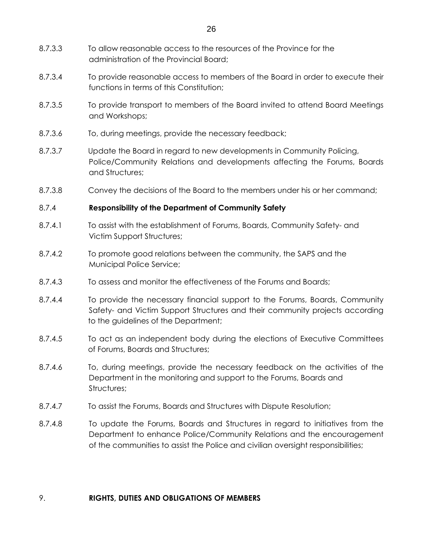- 8.7.3.3 To allow reasonable access to the resources of the Province for the administration of the Provincial Board;
- 8.7.3.4 To provide reasonable access to members of the Board in order to execute their functions in terms of this Constitution;
- 8.7.3.5 To provide transport to members of the Board invited to attend Board Meetings and Workshops;
- 8.7.3.6 To, during meetings, provide the necessary feedback;
- 8.7.3.7 Update the Board in regard to new developments in Community Policing, Police/Community Relations and developments affecting the Forums, Boards and Structures;
- 8.7.3.8 Convey the decisions of the Board to the members under his or her command;

## 8.7.4 **Responsibility of the Department of Community Safety**

- 8.7.4.1 To assist with the establishment of Forums, Boards, Community Safety- and Victim Support Structures;
- 8.7.4.2 To promote good relations between the community, the SAPS and the Municipal Police Service;
- 8.7.4.3 To assess and monitor the effectiveness of the Forums and Boards;
- 8.7.4.4 To provide the necessary financial support to the Forums, Boards, Community Safety- and Victim Support Structures and their community projects according to the guidelines of the Department;
- 8.7.4.5 To act as an independent body during the elections of Executive Committees of Forums, Boards and Structures;
- 8.7.4.6 To, during meetings, provide the necessary feedback on the activities of the Department in the monitoring and support to the Forums, Boards and Structures;
- 8.7.4.7 To assist the Forums, Boards and Structures with Dispute Resolution;
- 8.7.4.8 To update the Forums, Boards and Structures in regard to initiatives from the Department to enhance Police/Community Relations and the encouragement of the communities to assist the Police and civilian oversight responsibilities;

### 9. **RIGHTS, DUTIES AND OBLIGATIONS OF MEMBERS**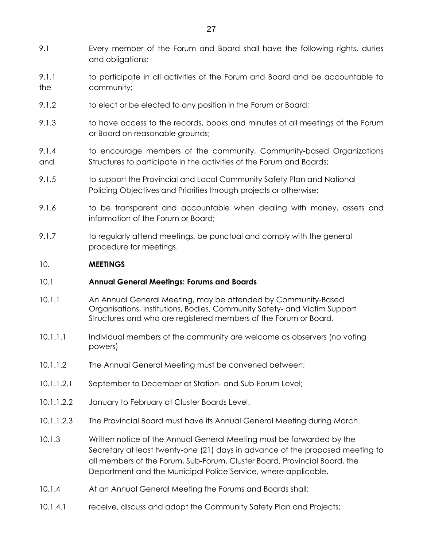- 9.1 Every member of the Forum and Board shall have the following rights, duties and obligations;
- 9.1.1 to participate in all activities of the Forum and Board and be accountable to the community;
- 9.1.2 to elect or be elected to any position in the Forum or Board;
- 9.1.3 to have access to the records, books and minutes of all meetings of the Forum or Board on reasonable grounds;
- 9.1.4 to encourage members of the community, Community-based Organizations and Structures to participate in the activities of the Forum and Boards;
- 9.1.5 to support the Provincial and Local Community Safety Plan and National Policing Objectives and Priorities through projects or otherwise;
- 9.1.6 to be transparent and accountable when dealing with money, assets and information of the Forum or Board;
- 9.1.7 to regularly attend meetings, be punctual and comply with the general procedure for meetings.

## 10. **MEETINGS**

### 10.1 **Annual General Meetings: Forums and Boards**

- 10.1.1 An Annual General Meeting, may be attended by Community-Based Organisations, Institutions, Bodies, Community Safety- and Victim Support Structures and who are registered members of the Forum or Board.
- 10.1.1.1 Individual members of the community are welcome as observers (no voting powers)
- 10.1.1.2 The Annual General Meeting must be convened between;
- 10.1.1.2.1 September to December at Station- and Sub-Forum Level;
- 10.1.1.2.2 January to February at Cluster Boards Level.
- 10.1.1.2.3 The Provincial Board must have its Annual General Meeting during March.
- 10.1.3 Written notice of the Annual General Meeting must be forwarded by the Secretary at least twenty-one (21) days in advance of the proposed meeting to all members of the Forum, Sub-Forum, Cluster Board, Provincial Board, the Department and the Municipal Police Service, where applicable.
- 10.1.4 At an Annual General Meeting the Forums and Boards shall:
- 10.1.4.1 receive, discuss and adopt the Community Safety Plan and Projects;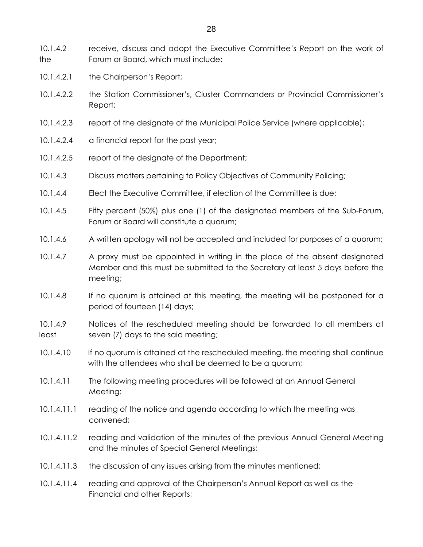10.1.4.2 receive, discuss and adopt the Executive Committee's Report on the work of the Forum or Board, which must include:

- 10.1.4.2.1 the Chairperson's Report;
- 10.1.4.2.2 the Station Commissioner's, Cluster Commanders or Provincial Commissioner's Report;
- 10.1.4.2.3 report of the designate of the Municipal Police Service (where applicable);
- 10.1.4.2.4 a financial report for the past year;
- 10.1.4.2.5 report of the designate of the Department;
- 10.1.4.3 Discuss matters pertaining to Policy Objectives of Community Policing;
- 10.1.4.4 Elect the Executive Committee, if election of the Committee is due;
- 10.1.4.5 Fifty percent (50%) plus one (1) of the designated members of the Sub-Forum, Forum or Board will constitute a quorum;
- 10.1.4.6 A written apology will not be accepted and included for purposes of a quorum;
- 10.1.4.7 A proxy must be appointed in writing in the place of the absent designated Member and this must be submitted to the Secretary at least 5 days before the meeting;
- 10.1.4.8 If no quorum is attained at this meeting, the meeting will be postponed for a period of fourteen (14) days;
- 10.1.4.9 Notices of the rescheduled meeting should be forwarded to all members at least seven (7) days to the said meeting;
- 10.1.4.10 If no quorum is attained at the rescheduled meeting, the meeting shall continue with the attendees who shall be deemed to be a quorum;
- 10.1.4.11 The following meeting procedures will be followed at an Annual General Meeting:
- 10.1.4.11.1 reading of the notice and agenda according to which the meeting was convened;
- 10.1.4.11.2 reading and validation of the minutes of the previous Annual General Meeting and the minutes of Special General Meetings;
- 10.1.4.11.3 the discussion of any issues arising from the minutes mentioned;
- 10.1.4.11.4 reading and approval of the Chairperson's Annual Report as well as the Financial and other Reports;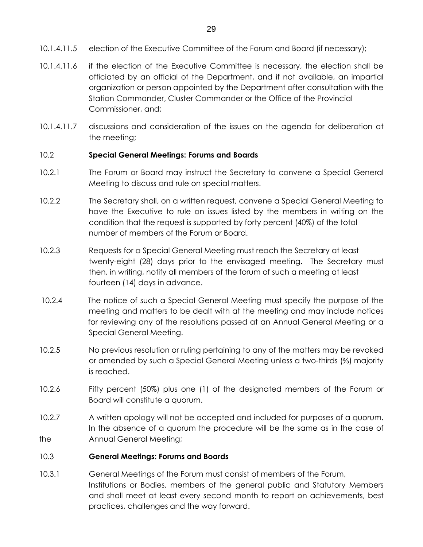- 10.1.4.11.5 election of the Executive Committee of the Forum and Board (if necessary);
- 10.1.4.11.6 if the election of the Executive Committee is necessary, the election shall be officiated by an official of the Department, and if not available, an impartial organization or person appointed by the Department after consultation with the Station Commander, Cluster Commander or the Office of the Provincial Commissioner, and;
- 10.1.4.11.7 discussions and consideration of the issues on the agenda for deliberation at the meeting;

### 10.2 **Special General Meetings: Forums and Boards**

- 10.2.1 The Forum or Board may instruct the Secretary to convene a Special General Meeting to discuss and rule on special matters.
- 10.2.2 The Secretary shall, on a written request, convene a Special General Meeting to have the Executive to rule on issues listed by the members in writing on the condition that the request is supported by forty percent (40%) of the total number of members of the Forum or Board.
- 10.2.3 Requests for a Special General Meeting must reach the Secretary at least twenty-eight (28) days prior to the envisaged meeting. The Secretary must then, in writing, notify all members of the forum of such a meeting at least fourteen (14) days in advance.
- 10.2.4 The notice of such a Special General Meeting must specify the purpose of the meeting and matters to be dealt with at the meeting and may include notices for reviewing any of the resolutions passed at an Annual General Meeting or a Special General Meeting.
- 10.2.5 No previous resolution or ruling pertaining to any of the matters may be revoked or amended by such a Special General Meeting unless a two-thirds (⅔) majority is reached.
- 10.2.6 Fifty percent (50%) plus one (1) of the designated members of the Forum or Board will constitute a quorum.
- 10.2.7 A written apology will not be accepted and included for purposes of a quorum. In the absence of a quorum the procedure will be the same as in the case of the Annual General Meeting;

#### 10.3 **General Meetings: Forums and Boards**

10.3.1 General Meetings of the Forum must consist of members of the Forum, Institutions or Bodies, members of the general public and Statutory Members and shall meet at least every second month to report on achievements, best practices, challenges and the way forward.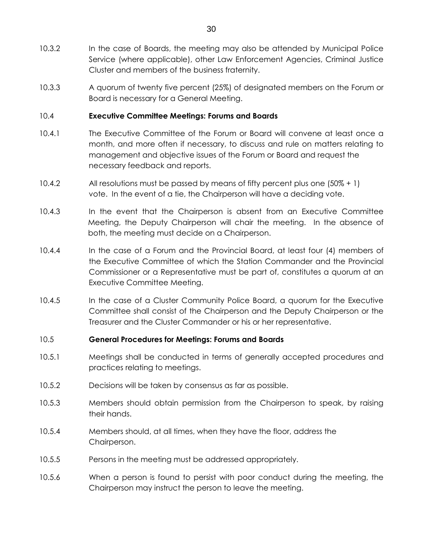- 10.3.2 In the case of Boards, the meeting may also be attended by Municipal Police Service (where applicable), other Law Enforcement Agencies, Criminal Justice Cluster and members of the business fraternity.
- 10.3.3 A quorum of twenty five percent (25%) of designated members on the Forum or Board is necessary for a General Meeting.

## 10.4 **Executive Committee Meetings: Forums and Boards**

- 10.4.1 The Executive Committee of the Forum or Board will convene at least once a month, and more often if necessary, to discuss and rule on matters relating to management and objective issues of the Forum or Board and request the necessary feedback and reports.
- 10.4.2 All resolutions must be passed by means of fifty percent plus one (50% + 1) vote. In the event of a tie, the Chairperson will have a deciding vote.
- 10.4.3 In the event that the Chairperson is absent from an Executive Committee Meeting, the Deputy Chairperson will chair the meeting. In the absence of both, the meeting must decide on a Chairperson.
- 10.4.4 In the case of a Forum and the Provincial Board, at least four (4) members of the Executive Committee of which the Station Commander and the Provincial Commissioner or a Representative must be part of, constitutes a quorum at an Executive Committee Meeting.
- 10.4.5 In the case of a Cluster Community Police Board, a quorum for the Executive Committee shall consist of the Chairperson and the Deputy Chairperson or the Treasurer and the Cluster Commander or his or her representative.

## 10.5 **General Procedures for Meetings: Forums and Boards**

- 10.5.1 Meetings shall be conducted in terms of generally accepted procedures and practices relating to meetings.
- 10.5.2 Decisions will be taken by consensus as far as possible.
- 10.5.3 Members should obtain permission from the Chairperson to speak, by raising their hands.
- 10.5.4 Members should, at all times, when they have the floor, address the Chairperson.
- 10.5.5 Persons in the meeting must be addressed appropriately.
- 10.5.6 When a person is found to persist with poor conduct during the meeting, the Chairperson may instruct the person to leave the meeting.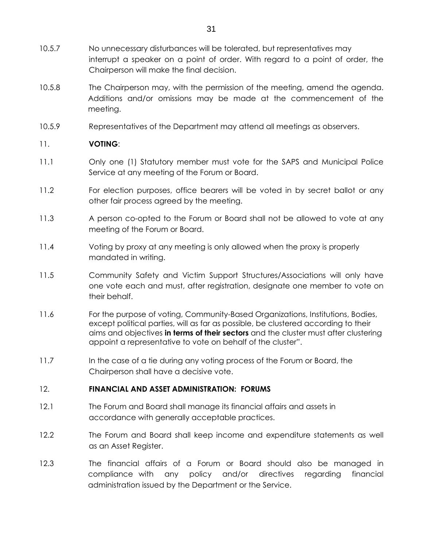- 10.5.7 No unnecessary disturbances will be tolerated, but representatives may interrupt a speaker on a point of order. With regard to a point of order, the Chairperson will make the final decision.
- 10.5.8 The Chairperson may, with the permission of the meeting, amend the agenda. Additions and/or omissions may be made at the commencement of the meeting.
- 10.5.9 Representatives of the Department may attend all meetings as observers.

## 11. **VOTING**:

- 11.1 Only one (1) Statutory member must vote for the SAPS and Municipal Police Service at any meeting of the Forum or Board.
- 11.2 For election purposes, office bearers will be voted in by secret ballot or any other fair process agreed by the meeting.
- 11.3 A person co-opted to the Forum or Board shall not be allowed to vote at any meeting of the Forum or Board.
- 11.4 Voting by proxy at any meeting is only allowed when the proxy is properly mandated in writing.
- 11.5 Community Safety and Victim Support Structures/Associations will only have one vote each and must, after registration, designate one member to vote on their behalf.
- 11.6 For the purpose of voting, Community-Based Organizations, Institutions, Bodies, except political parties, will as far as possible, be clustered according to their aims and objectives **in terms of their sectors** and the cluster must after clustering appoint a representative to vote on behalf of the cluster".
- 11.7 In the case of a tie during any voting process of the Forum or Board, the Chairperson shall have a decisive vote.

### 12. **FINANCIAL AND ASSET ADMINISTRATION: FORUMS**

- 12.1 The Forum and Board shall manage its financial affairs and assets in accordance with generally acceptable practices.
- 12.2 The Forum and Board shall keep income and expenditure statements as well as an Asset Register.
- 12.3 The financial affairs of a Forum or Board should also be managed in compliance with any policy and/or directives regarding financial administration issued by the Department or the Service.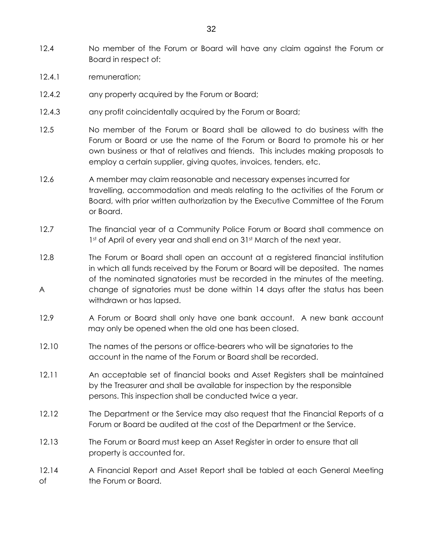- 12.4 No member of the Forum or Board will have any claim against the Forum or Board in respect of:
- 12.4.1 remuneration;
- 12.4.2 any property acquired by the Forum or Board;
- 12.4.3 any profit coincidentally acquired by the Forum or Board;
- 12.5 No member of the Forum or Board shall be allowed to do business with the Forum or Board or use the name of the Forum or Board to promote his or her own business or that of relatives and friends. This includes making proposals to employ a certain supplier, giving quotes, invoices, tenders, etc.
- 12.6 A member may claim reasonable and necessary expenses incurred for travelling, accommodation and meals relating to the activities of the Forum or Board, with prior written authorization by the Executive Committee of the Forum or Board.
- 12.7 The financial year of a Community Police Forum or Board shall commence on 1st of April of every year and shall end on 31st March of the next year.
- 12.8 The Forum or Board shall open an account at a registered financial institution in which all funds received by the Forum or Board will be deposited. The names of the nominated signatories must be recorded in the minutes of the meeting. A change of signatories must be done within 14 days after the status has been withdrawn or has lapsed.
- 12.9 A Forum or Board shall only have one bank account. A new bank account may only be opened when the old one has been closed.
- 12.10 The names of the persons or office-bearers who will be signatories to the account in the name of the Forum or Board shall be recorded.
- 12.11 An acceptable set of financial books and Asset Registers shall be maintained by the Treasurer and shall be available for inspection by the responsible persons. This inspection shall be conducted twice a year.
- 12.12 The Department or the Service may also request that the Financial Reports of a Forum or Board be audited at the cost of the Department or the Service.
- 12.13 The Forum or Board must keep an Asset Register in order to ensure that all property is accounted for.
- 12.14 A Financial Report and Asset Report shall be tabled at each General Meeting of the Forum or Board.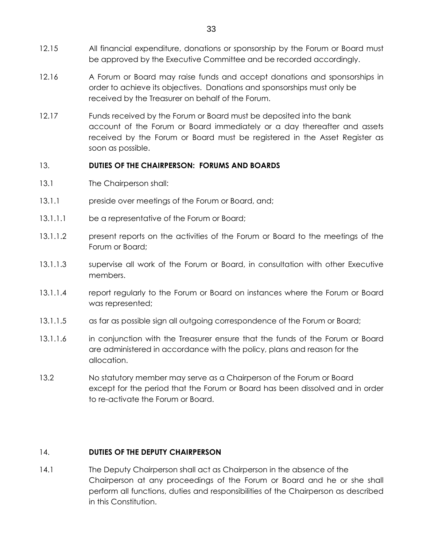- 12.15 All financial expenditure, donations or sponsorship by the Forum or Board must be approved by the Executive Committee and be recorded accordingly.
- 12.16 A Forum or Board may raise funds and accept donations and sponsorships in order to achieve its objectives. Donations and sponsorships must only be received by the Treasurer on behalf of the Forum.
- 12.17 Funds received by the Forum or Board must be deposited into the bank account of the Forum or Board immediately or a day thereafter and assets received by the Forum or Board must be registered in the Asset Register as soon as possible.

## 13. **DUTIES OF THE CHAIRPERSON: FORUMS AND BOARDS**

- 13.1 The Chairperson shall:
- 13.1.1 **preside over meetings of the Forum or Board, and;**
- 13.1.1.1 be a representative of the Forum or Board;
- 13.1.1.2 present reports on the activities of the Forum or Board to the meetings of the Forum or Board;
- 13.1.1.3 supervise all work of the Forum or Board, in consultation with other Executive members.
- 13.1.1.4 report regularly to the Forum or Board on instances where the Forum or Board was represented;
- 13.1.1.5 as far as possible sign all outgoing correspondence of the Forum or Board;
- 13.1.1.6 in conjunction with the Treasurer ensure that the funds of the Forum or Board are administered in accordance with the policy, plans and reason for the allocation.
- 13.2 No statutory member may serve as a Chairperson of the Forum or Board except for the period that the Forum or Board has been dissolved and in order to re-activate the Forum or Board.

## 14. **DUTIES OF THE DEPUTY CHAIRPERSON**

14.1 The Deputy Chairperson shall act as Chairperson in the absence of the Chairperson at any proceedings of the Forum or Board and he or she shall perform all functions, duties and responsibilities of the Chairperson as described in this Constitution.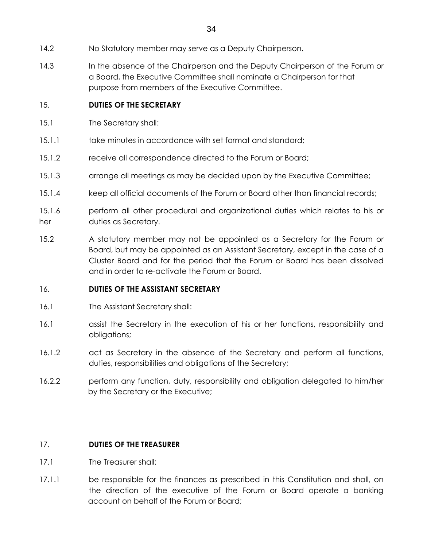- 14.2 No Statutory member may serve as a Deputy Chairperson.
- 14.3 In the absence of the Chairperson and the Deputy Chairperson of the Forum or a Board, the Executive Committee shall nominate a Chairperson for that purpose from members of the Executive Committee.

## 15. **DUTIES OF THE SECRETARY**

- 15.1 The Secretary shall:
- 15.1.1 take minutes in accordance with set format and standard;
- 15.1.2 receive all correspondence directed to the Forum or Board;
- 15.1.3 arrange all meetings as may be decided upon by the Executive Committee;
- 15.1.4 keep all official documents of the Forum or Board other than financial records;
- 15.1.6 perform all other procedural and organizational duties which relates to his or her duties as Secretary.
- 15.2 A statutory member may not be appointed as a Secretary for the Forum or Board, but may be appointed as an Assistant Secretary, except in the case of a Cluster Board and for the period that the Forum or Board has been dissolved and in order to re-activate the Forum or Board.

### 16. **DUTIES OF THE ASSISTANT SECRETARY**

- 16.1 The Assistant Secretary shall:
- 16.1 assist the Secretary in the execution of his or her functions, responsibility and obligations;
- 16.1.2 act as Secretary in the absence of the Secretary and perform all functions, duties, responsibilities and obligations of the Secretary;
- 16.2.2 perform any function, duty, responsibility and obligation delegated to him/her by the Secretary or the Executive;

## 17. **DUTIES OF THE TREASURER**

- 17.1 The Treasurer shall:
- 17.1.1 be responsible for the finances as prescribed in this Constitution and shall, on the direction of the executive of the Forum or Board operate a banking account on behalf of the Forum or Board;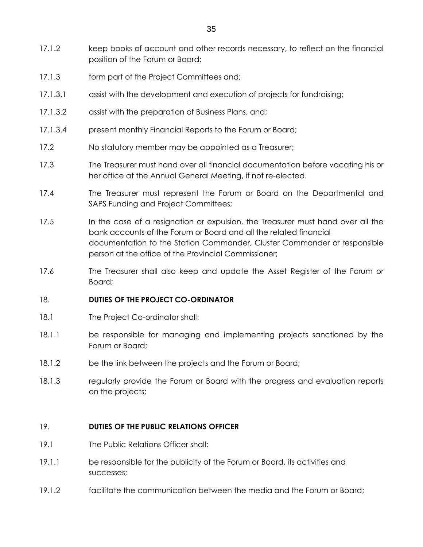- 17.1.2 keep books of account and other records necessary, to reflect on the financial position of the Forum or Board;
- 17.1.3 form part of the Project Committees and;
- 17.1.3.1 assist with the development and execution of projects for fundraising;
- 17.1.3.2 assist with the preparation of Business Plans, and;
- 17.1.3.4 present monthly Financial Reports to the Forum or Board;
- 17.2 No statutory member may be appointed as a Treasurer;
- 17.3 The Treasurer must hand over all financial documentation before vacating his or her office at the Annual General Meeting, if not re-elected.
- 17.4 The Treasurer must represent the Forum or Board on the Departmental and SAPS Funding and Project Committees;
- 17.5 In the case of a resignation or expulsion, the Treasurer must hand over all the bank accounts of the Forum or Board and all the related financial documentation to the Station Commander, Cluster Commander or responsible person at the office of the Provincial Commissioner;
- 17.6 The Treasurer shall also keep and update the Asset Register of the Forum or Board;

### 18. **DUTIES OF THE PROJECT CO-ORDINATOR**

- 18.1 The Project Co-ordinator shall:
- 18.1.1 be responsible for managing and implementing projects sanctioned by the Forum or Board;
- 18.1.2 be the link between the projects and the Forum or Board;
- 18.1.3 regularly provide the Forum or Board with the progress and evaluation reports on the projects;

## 19. **DUTIES OF THE PUBLIC RELATIONS OFFICER**

- 19.1 The Public Relations Officer shall:
- 19.1.1 be responsible for the publicity of the Forum or Board, its activities and successes;
- 19.1.2 facilitate the communication between the media and the Forum or Board;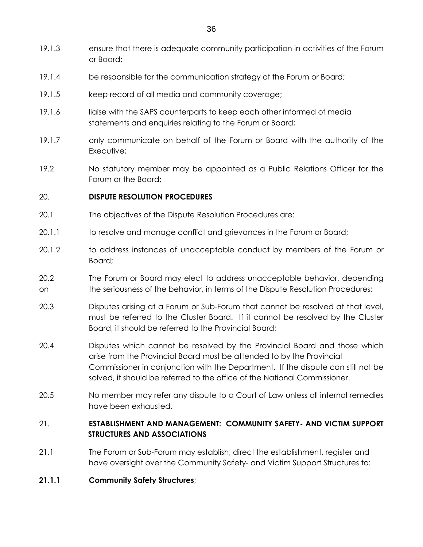- 19.1.3 ensure that there is adequate community participation in activities of the Forum or Board;
- 19.1.4 be responsible for the communication strategy of the Forum or Board;
- 19.1.5 keep record of all media and community coverage;
- 19.1.6 liaise with the SAPS counterparts to keep each other informed of media statements and enquiries relating to the Forum or Board;
- 19.1.7 only communicate on behalf of the Forum or Board with the authority of the Executive:
- 19.2 No statutory member may be appointed as a Public Relations Officer for the Forum or the Board;

### 20. **DISPUTE RESOLUTION PROCEDURES**

- 20.1 The objectives of the Dispute Resolution Procedures are:
- 20.1.1 to resolve and manage conflict and grievances in the Forum or Board;
- 20.1.2 to address instances of unacceptable conduct by members of the Forum or Board;
- 20.2 The Forum or Board may elect to address unacceptable behavior, depending on the seriousness of the behavior, in terms of the Dispute Resolution Procedures;
- 20.3 Disputes arising at a Forum or Sub-Forum that cannot be resolved at that level, must be referred to the Cluster Board. If it cannot be resolved by the Cluster Board, it should be referred to the Provincial Board;
- 20.4 Disputes which cannot be resolved by the Provincial Board and those which arise from the Provincial Board must be attended to by the Provincial Commissioner in conjunction with the Department. If the dispute can still not be solved, it should be referred to the office of the National Commissioner.
- 20.5 No member may refer any dispute to a Court of Law unless all internal remedies have been exhausted.

## 21. **ESTABLISHMENT AND MANAGEMENT: COMMUNITY SAFETY- AND VICTIM SUPPORT STRUCTURES AND ASSOCIATIONS**

21.1 The Forum or Sub-Forum may establish, direct the establishment, register and have oversight over the Community Safety- and Victim Support Structures to:

### **21.1.1 Community Safety Structures**;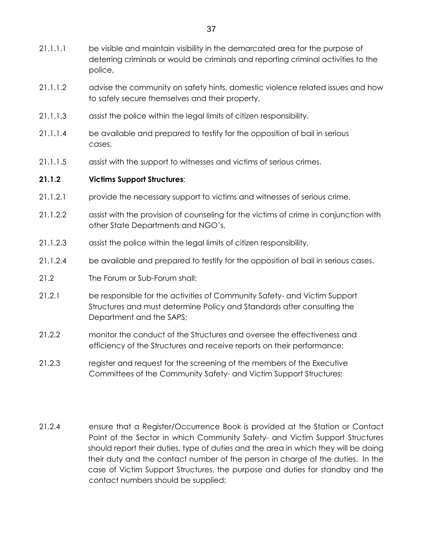- 21.1.1.1 be visible and maintain visibility in the demarcated area for the purpose of deterring criminals or would be criminals and reporting criminal activities to the police,
- 21.1.1.2 advise the community on safety hints, domestic violence related issues and how to safely secure themselves and their property,
- 21.1.1.3 assist the police within the legal limits of citizen responsibility,
- 21.1.1.4 be available and prepared to testify for the opposition of bail in serious cases,
- 21.1.1.5 assist with the support to witnesses and victims of serious crimes.

## **21.1.2 Victims Support Structures**;

- 21.1.2.1 provide the necessary support to victims and witnesses of serious crime,
- 21.1.2.2 assist with the provision of counseling for the victims of crime in conjunction with other State Departments and NGO's,
- 21.1.2.3 assist the police within the legal limits of citizen responsibility,
- 21.1.2.4 be available and prepared to testify for the opposition of bail in serious cases.
- 21.2 The Forum or Sub-Forum shall:
- 21.2.1 be responsible for the activities of Community Safety- and Victim Support Structures and must determine Policy and Standards after consulting the Department and the SAPS;
- 21.2.2 monitor the conduct of the Structures and oversee the effectiveness and efficiency of the Structures and receive reports on their performance;
- 21.2.3 register and request for the screening of the members of the Executive Committees of the Community Safety- and Victim Support Structures;
- 21.2.4 ensure that a Register/Occurrence Book is provided at the Station or Contact Point of the Sector in which Community Safety- and Victim Support Structures should report their duties, type of duties and the area in which they will be doing their duty and the contact number of the person in charge of the duties. In the case of Victim Support Structures, the purpose and duties for standby and the contact numbers should be supplied;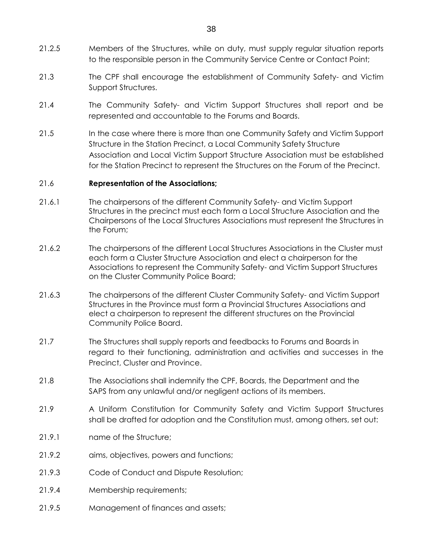- 21.2.5 Members of the Structures, while on duty, must supply regular situation reports to the responsible person in the Community Service Centre or Contact Point;
- 21.3 The CPF shall encourage the establishment of Community Safety- and Victim Support Structures.
- 21.4 The Community Safety- and Victim Support Structures shall report and be represented and accountable to the Forums and Boards.
- 21.5 In the case where there is more than one Community Safety and Victim Support Structure in the Station Precinct, a Local Community Safety Structure Association and Local Victim Support Structure Association must be established for the Station Precinct to represent the Structures on the Forum of the Precinct.

### 21.6 **Representation of the Associations;**

- 21.6.1 The chairpersons of the different Community Safety- and Victim Support Structures in the precinct must each form a Local Structure Association and the Chairpersons of the Local Structures Associations must represent the Structures in the Forum;
- 21.6.2 The chairpersons of the different Local Structures Associations in the Cluster must each form a Cluster Structure Association and elect a chairperson for the Associations to represent the Community Safety- and Victim Support Structures on the Cluster Community Police Board;
- 21.6.3 The chairpersons of the different Cluster Community Safety- and Victim Support Structures in the Province must form a Provincial Structures Associations and elect a chairperson to represent the different structures on the Provincial Community Police Board.
- 21.7 The Structures shall supply reports and feedbacks to Forums and Boards in regard to their functioning, administration and activities and successes in the Precinct, Cluster and Province.
- 21.8 The Associations shall indemnify the CPF, Boards, the Department and the SAPS from any unlawful and/or negligent actions of its members.
- 21.9 A Uniform Constitution for Community Safety and Victim Support Structures shall be drafted for adoption and the Constitution must, among others, set out:
- 21.9.1 name of the Structure;
- 21.9.2 aims, objectives, powers and functions;
- 21.9.3 Code of Conduct and Dispute Resolution;
- 21.9.4 Membership requirements;
- 21.9.5 Management of finances and assets;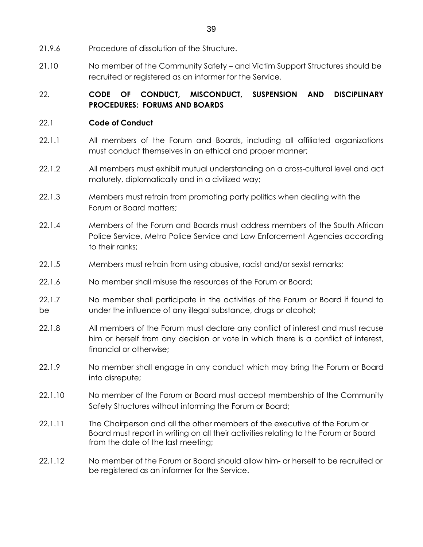- 21.9.6 Procedure of dissolution of the Structure.
- 21.10 No member of the Community Safety and Victim Support Structures should be recruited or registered as an informer for the Service.

## 22. **CODE OF CONDUCT, MISCONDUCT, SUSPENSION AND DISCIPLINARY PROCEDURES: FORUMS AND BOARDS**

## 22.1 **Code of Conduct**

- 22.1.1 All members of the Forum and Boards, including all affiliated organizations must conduct themselves in an ethical and proper manner;
- 22.1.2 All members must exhibit mutual understanding on a cross-cultural level and act maturely, diplomatically and in a civilized way;
- 22.1.3 Members must refrain from promoting party politics when dealing with the Forum or Board matters;
- 22.1.4 Members of the Forum and Boards must address members of the South African Police Service, Metro Police Service and Law Enforcement Agencies according to their ranks;
- 22.1.5 Members must refrain from using abusive, racist and/or sexist remarks;
- 22.1.6 No member shall misuse the resources of the Forum or Board:
- 22.1.7 No member shall participate in the activities of the Forum or Board if found to be under the influence of any illegal substance, drugs or alcohol;
- 22.1.8 All members of the Forum must declare any conflict of interest and must recuse him or herself from any decision or vote in which there is a conflict of interest, financial or otherwise;
- 22.1.9 No member shall engage in any conduct which may bring the Forum or Board into disrepute;
- 22.1.10 No member of the Forum or Board must accept membership of the Community Safety Structures without informing the Forum or Board;
- 22.1.11 The Chairperson and all the other members of the executive of the Forum or Board must report in writing on all their activities relating to the Forum or Board from the date of the last meeting;
- 22.1.12 No member of the Forum or Board should allow him- or herself to be recruited or be registered as an informer for the Service.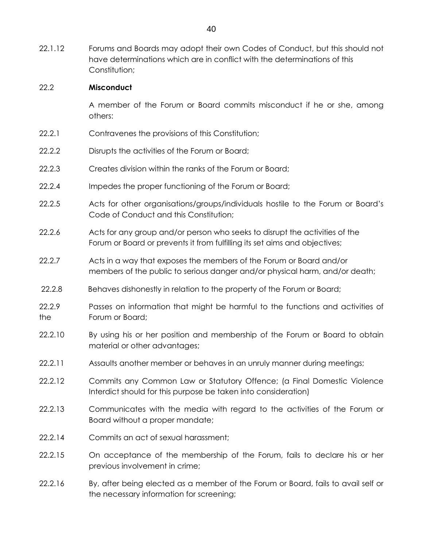22.1.12 Forums and Boards may adopt their own Codes of Conduct, but this should not have determinations which are in conflict with the determinations of this Constitution:

### 22.2 **Misconduct**

 A member of the Forum or Board commits misconduct if he or she, among others:

- 22.2.1 Contravenes the provisions of this Constitution;
- 22.2.2 Disrupts the activities of the Forum or Board;
- 22.2.3 Creates division within the ranks of the Forum or Board;
- 22.2.4 Impedes the proper functioning of the Forum or Board;
- 22.2.5 Acts for other organisations/groups/individuals hostile to the Forum or Board's Code of Conduct and this Constitution;
- 22.2.6 Acts for any group and/or person who seeks to disrupt the activities of the Forum or Board or prevents it from fulfilling its set aims and objectives;
- 22.2.7 Acts in a way that exposes the members of the Forum or Board and/or members of the public to serious danger and/or physical harm, and/or death;
- 22.2.8 Behaves dishonestly in relation to the property of the Forum or Board;
- 22.2.9 Passes on information that might be harmful to the functions and activities of the Forum or Board;
- 22.2.10 By using his or her position and membership of the Forum or Board to obtain material or other advantages;
- 22.2.11 Assaults another member or behaves in an unruly manner during meetings;
- 22.2.12 Commits any Common Law or Statutory Offence; (a Final Domestic Violence Interdict should for this purpose be taken into consideration)
- 22.2.13 Communicates with the media with regard to the activities of the Forum or Board without a proper mandate;
- 22.2.14 Commits an act of sexual harassment;
- 22.2.15 On acceptance of the membership of the Forum, fails to declare his or her previous involvement in crime;
- 22.2.16 By, after being elected as a member of the Forum or Board, fails to avail self or the necessary information for screening;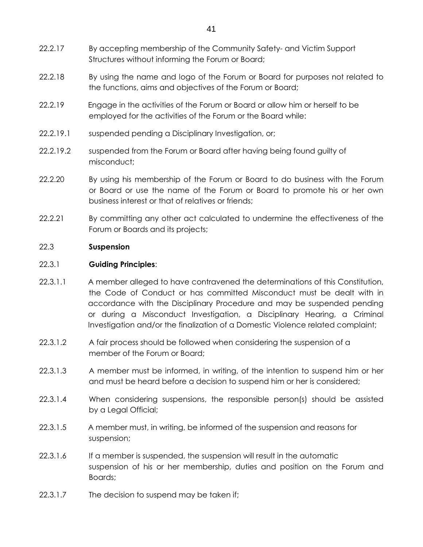- 22.2.17 By accepting membership of the Community Safety- and Victim Support Structures without informing the Forum or Board;
- 22.2.18 By using the name and logo of the Forum or Board for purposes not related to the functions, aims and objectives of the Forum or Board;
- 22.2.19 Engage in the activities of the Forum or Board or allow him or herself to be employed for the activities of the Forum or the Board while:
- 22.2.19.1 suspended pending a Disciplinary Investigation, or;
- 22.2.19.2 suspended from the Forum or Board after having being found guilty of misconduct;
- 22.2.20 By using his membership of the Forum or Board to do business with the Forum or Board or use the name of the Forum or Board to promote his or her own business interest or that of relatives or friends;
- 22.2.21 By committing any other act calculated to undermine the effectiveness of the Forum or Boards and its projects;

### 22.3 **Suspension**

### 22.3.1 **Guiding Principles**:

- 22.3.1.1 A member alleged to have contravened the determinations of this Constitution, the Code of Conduct or has committed Misconduct must be dealt with in accordance with the Disciplinary Procedure and may be suspended pending or during a Misconduct Investigation, a Disciplinary Hearing, a Criminal Investigation and/or the finalization of a Domestic Violence related complaint;
- 22.3.1.2 A fair process should be followed when considering the suspension of a member of the Forum or Board;
- 22.3.1.3 A member must be informed, in writing, of the intention to suspend him or her and must be heard before a decision to suspend him or her is considered;
- 22.3.1.4 When considering suspensions, the responsible person(s) should be assisted by a Legal Official;
- 22.3.1.5 A member must, in writing, be informed of the suspension and reasons for suspension;
- 22.3.1.6 If a member is suspended, the suspension will result in the automatic suspension of his or her membership, duties and position on the Forum and Boards;
- 22.3.1.7 The decision to suspend may be taken if;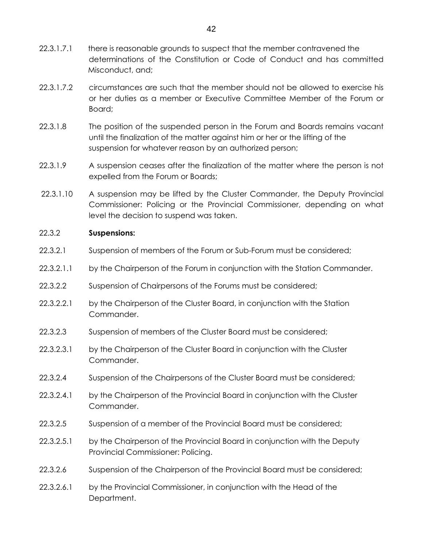- 22.3.1.7.1 there is reasonable grounds to suspect that the member contravened the determinations of the Constitution or Code of Conduct and has committed Misconduct, and;
- 22.3.1.7.2 circumstances are such that the member should not be allowed to exercise his or her duties as a member or Executive Committee Member of the Forum or Board;
- 22.3.1.8 The position of the suspended person in the Forum and Boards remains vacant until the finalization of the matter against him or her or the lifting of the suspension for whatever reason by an authorized person;
- 22.3.1.9 A suspension ceases after the finalization of the matter where the person is not expelled from the Forum or Boards;
- 22.3.1.10 A suspension may be lifted by the Cluster Commander, the Deputy Provincial Commissioner: Policing or the Provincial Commissioner, depending on what level the decision to suspend was taken.

### 22.3.2 **Suspensions:**

- 22.3.2.1 Suspension of members of the Forum or Sub-Forum must be considered;
- 22.3.2.1.1 by the Chairperson of the Forum in conjunction with the Station Commander.
- 22.3.2.2 Suspension of Chairpersons of the Forums must be considered;
- 22.3.2.2.1 by the Chairperson of the Cluster Board, in conjunction with the Station Commander.
- 22.3.2.3 Suspension of members of the Cluster Board must be considered;
- 22.3.2.3.1 by the Chairperson of the Cluster Board in conjunction with the Cluster Commander.
- 22.3.2.4 Suspension of the Chairpersons of the Cluster Board must be considered;
- 22.3.2.4.1 by the Chairperson of the Provincial Board in conjunction with the Cluster Commander.
- 22.3.2.5 Suspension of a member of the Provincial Board must be considered;
- 22.3.2.5.1 by the Chairperson of the Provincial Board in conjunction with the Deputy Provincial Commissioner: Policing.
- 22.3.2.6 Suspension of the Chairperson of the Provincial Board must be considered;
- 22.3.2.6.1 by the Provincial Commissioner, in conjunction with the Head of the Department.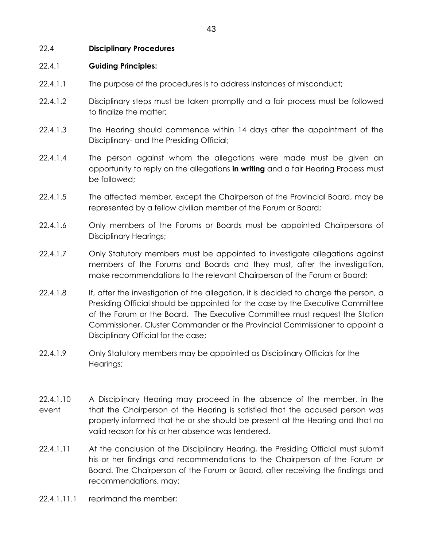### 22.4 **Disciplinary Procedures**

### 22.4.1 **Guiding Principles:**

- 22.4.1.1 The purpose of the procedures is to address instances of misconduct;
- 22.4.1.2 Disciplinary steps must be taken promptly and a fair process must be followed to finalize the matter;
- 22.4.1.3 The Hearing should commence within 14 days after the appointment of the Disciplinary- and the Presiding Official;
- 22.4.1.4 The person against whom the allegations were made must be given an opportunity to reply on the allegations **in writing** and a fair Hearing Process must be followed;
- 22.4.1.5 The affected member, except the Chairperson of the Provincial Board, may be represented by a fellow civilian member of the Forum or Board;
- 22.4.1.6 Only members of the Forums or Boards must be appointed Chairpersons of Disciplinary Hearings;
- 22.4.1.7 Only Statutory members must be appointed to investigate allegations against members of the Forums and Boards and they must, after the investigation, make recommendations to the relevant Chairperson of the Forum or Board;
- 22.4.1.8 If, after the investigation of the allegation, it is decided to charge the person, a Presiding Official should be appointed for the case by the Executive Committee of the Forum or the Board. The Executive Committee must request the Station Commissioner, Cluster Commander or the Provincial Commissioner to appoint a Disciplinary Official for the case;
- 22.4.1.9 Only Statutory members may be appointed as Disciplinary Officials for the Hearings;
- 22.4.1.10 A Disciplinary Hearing may proceed in the absence of the member, in the event that the Chairperson of the Hearing is satisfied that the accused person was properly informed that he or she should be present at the Hearing and that no valid reason for his or her absence was tendered.
- 22.4.1.11 At the conclusion of the Disciplinary Hearing, the Presiding Official must submit his or her findings and recommendations to the Chairperson of the Forum or Board. The Chairperson of the Forum or Board, after receiving the findings and recommendations, may:
- 22.4.1.11.1 reprimand the member;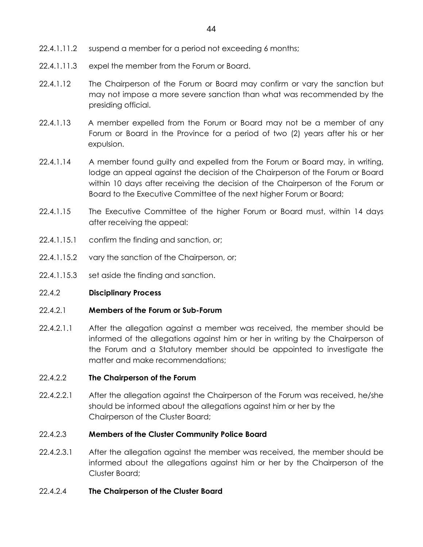- 22.4.1.11.2 suspend a member for a period not exceeding 6 months;
- 22.4.1.11.3 expel the member from the Forum or Board.
- 22.4.1.12 The Chairperson of the Forum or Board may confirm or vary the sanction but may not impose a more severe sanction than what was recommended by the presiding official.
- 22.4.1.13 A member expelled from the Forum or Board may not be a member of any Forum or Board in the Province for a period of two (2) years after his or her expulsion.
- 22.4.1.14 A member found guilty and expelled from the Forum or Board may, in writing, lodge an appeal against the decision of the Chairperson of the Forum or Board within 10 days after receiving the decision of the Chairperson of the Forum or Board to the Executive Committee of the next higher Forum or Board;
- 22.4.1.15 The Executive Committee of the higher Forum or Board must, within 14 days after receiving the appeal:
- 22.4.1.15.1 confirm the finding and sanction, or;
- 22.4.1.15.2 vary the sanction of the Chairperson, or;
- 22.4.1.15.3 set aside the finding and sanction.

### 22.4.2 **Disciplinary Process**

### 22.4.2.1 **Members of the Forum or Sub-Forum**

22.4.2.1.1 After the allegation against a member was received, the member should be informed of the allegations against him or her in writing by the Chairperson of the Forum and a Statutory member should be appointed to investigate the matter and make recommendations;

### 22.4.2.2 **The Chairperson of the Forum**

22.4.2.2.1 After the allegation against the Chairperson of the Forum was received, he/she should be informed about the allegations against him or her by the Chairperson of the Cluster Board;

### 22.4.2.3 **Members of the Cluster Community Police Board**

22.4.2.3.1 After the allegation against the member was received, the member should be informed about the allegations against him or her by the Chairperson of the Cluster Board;

### 22.4.2.4 **The Chairperson of the Cluster Board**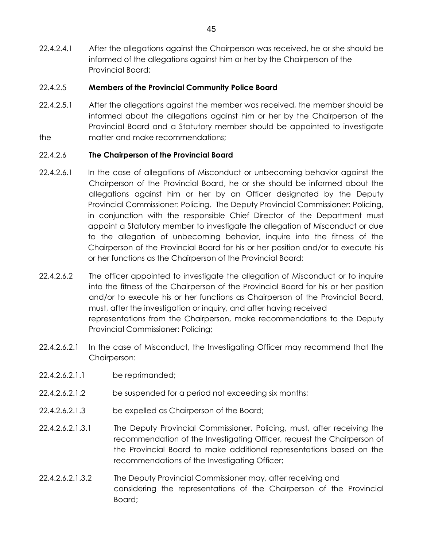22.4.2.4.1 After the allegations against the Chairperson was received, he or she should be informed of the allegations against him or her by the Chairperson of the Provincial Board;

## 22.4.2.5 **Members of the Provincial Community Police Board**

22.4.2.5.1 After the allegations against the member was received, the member should be informed about the allegations against him or her by the Chairperson of the Provincial Board and a Statutory member should be appointed to investigate the matter and make recommendations;

## 22.4.2.6 **The Chairperson of the Provincial Board**

- 22.4.2.6.1 In the case of allegations of Misconduct or unbecoming behavior against the Chairperson of the Provincial Board, he or she should be informed about the allegations against him or her by an Officer designated by the Deputy Provincial Commissioner: Policing. The Deputy Provincial Commissioner: Policing, in conjunction with the responsible Chief Director of the Department must appoint a Statutory member to investigate the allegation of Misconduct or due to the allegation of unbecoming behavior, inquire into the fitness of the Chairperson of the Provincial Board for his or her position and/or to execute his or her functions as the Chairperson of the Provincial Board;
- 22.4.2.6.2 The officer appointed to investigate the allegation of Misconduct or to inquire into the fitness of the Chairperson of the Provincial Board for his or her position and/or to execute his or her functions as Chairperson of the Provincial Board, must, after the investigation or inquiry, and after having received representations from the Chairperson, make recommendations to the Deputy Provincial Commissioner: Policing;
- 22.4.2.6.2.1 In the case of Misconduct, the Investigating Officer may recommend that the Chairperson:
- 22.4.2.6.2.1.1 be reprimanded;
- 22.4.2.6.2.1.2 be suspended for a period not exceeding six months;
- 22.4.2.6.2.1.3 be expelled as Chairperson of the Board;
- 22.4.2.6.2.1.3.1 The Deputy Provincial Commissioner, Policing, must, after receiving the recommendation of the Investigating Officer, request the Chairperson of the Provincial Board to make additional representations based on the recommendations of the Investigating Officer;
- 22.4.2.6.2.1.3.2 The Deputy Provincial Commissioner may, after receiving and considering the representations of the Chairperson of the Provincial Board;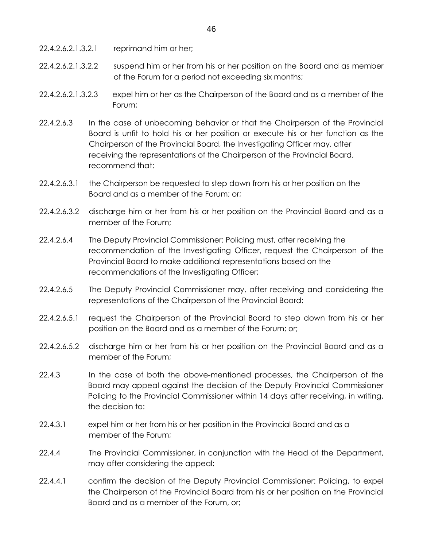- 22.4.2.6.2.1.3.2.1 reprimand him or her;
- 22.4.2.6.2.1.3.2.2 suspend him or her from his or her position on the Board and as member of the Forum for a period not exceeding six months;
- 22.4.2.6.2.1.3.2.3 expel him or her as the Chairperson of the Board and as a member of the Forum;
- 22.4.2.6.3 In the case of unbecoming behavior or that the Chairperson of the Provincial Board is unfit to hold his or her position or execute his or her function as the Chairperson of the Provincial Board, the Investigating Officer may, after receiving the representations of the Chairperson of the Provincial Board, recommend that:
- 22.4.2.6.3.1 the Chairperson be requested to step down from his or her position on the Board and as a member of the Forum; or;
- 22.4.2.6.3.2 discharge him or her from his or her position on the Provincial Board and as a member of the Forum;
- 22.4.2.6.4 The Deputy Provincial Commissioner: Policing must, after receiving the recommendation of the Investigating Officer, request the Chairperson of the Provincial Board to make additional representations based on the recommendations of the Investigating Officer;
- 22.4.2.6.5 The Deputy Provincial Commissioner may, after receiving and considering the representations of the Chairperson of the Provincial Board:
- 22.4.2.6.5.1 request the Chairperson of the Provincial Board to step down from his or her position on the Board and as a member of the Forum; or;
- 22.4.2.6.5.2 discharge him or her from his or her position on the Provincial Board and as a member of the Forum;
- 22.4.3 In the case of both the above-mentioned processes, the Chairperson of the Board may appeal against the decision of the Deputy Provincial Commissioner Policing to the Provincial Commissioner within 14 days after receiving, in writing, the decision to:
- 22.4.3.1 expel him or her from his or her position in the Provincial Board and as a member of the Forum;
- 22.4.4 The Provincial Commissioner, in conjunction with the Head of the Department, may after considering the appeal:
- 22.4.4.1 confirm the decision of the Deputy Provincial Commissioner: Policing, to expel the Chairperson of the Provincial Board from his or her position on the Provincial Board and as a member of the Forum, or;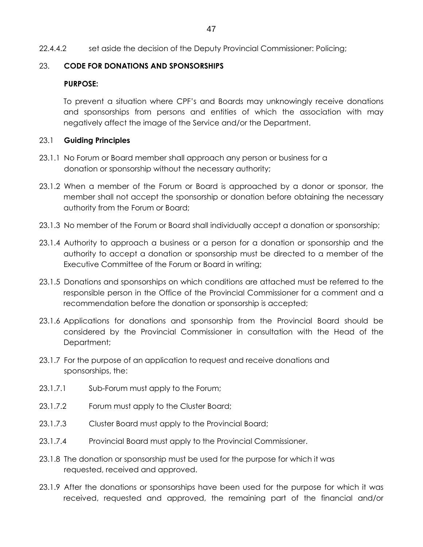## 23. **CODE FOR DONATIONS AND SPONSORSHIPS**

## **PURPOSE:**

To prevent a situation where CPF's and Boards may unknowingly receive donations and sponsorships from persons and entities of which the association with may negatively affect the image of the Service and/or the Department.

## 23.1 **Guiding Principles**

- 23.1.1 No Forum or Board member shall approach any person or business for a donation or sponsorship without the necessary authority;
- 23.1.2 When a member of the Forum or Board is approached by a donor or sponsor, the member shall not accept the sponsorship or donation before obtaining the necessary authority from the Forum or Board;
- 23.1.3 No member of the Forum or Board shall individually accept a donation or sponsorship;
- 23.1.4 Authority to approach a business or a person for a donation or sponsorship and the authority to accept a donation or sponsorship must be directed to a member of the Executive Committee of the Forum or Board in writing;
- 23.1.5 Donations and sponsorships on which conditions are attached must be referred to the responsible person in the Office of the Provincial Commissioner for a comment and a recommendation before the donation or sponsorship is accepted;
- 23.1.6 Applications for donations and sponsorship from the Provincial Board should be considered by the Provincial Commissioner in consultation with the Head of the Department;
- 23.1.7 For the purpose of an application to request and receive donations and sponsorships, the:
- 23.1.7.1 Sub-Forum must apply to the Forum;
- 23.1.7.2 Forum must apply to the Cluster Board;
- 23.1.7.3 Cluster Board must apply to the Provincial Board;
- 23.1.7.4 Provincial Board must apply to the Provincial Commissioner.
- 23.1.8 The donation or sponsorship must be used for the purpose for which it was requested, received and approved.
- 23.1.9 After the donations or sponsorships have been used for the purpose for which it was received, requested and approved, the remaining part of the financial and/or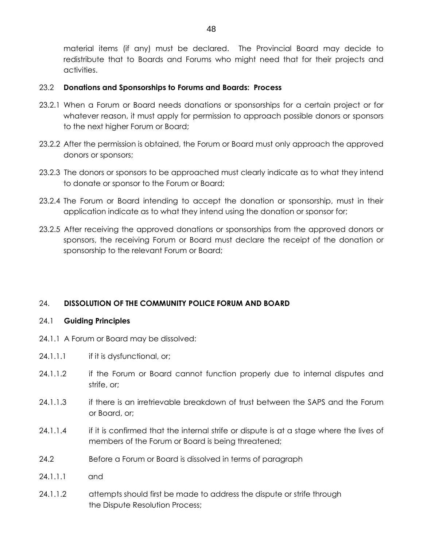material items (if any) must be declared. The Provincial Board may decide to redistribute that to Boards and Forums who might need that for their projects and activities.

## 23.2 **Donations and Sponsorships to Forums and Boards: Process**

- 23.2.1 When a Forum or Board needs donations or sponsorships for a certain project or for whatever reason, it must apply for permission to approach possible donors or sponsors to the next higher Forum or Board;
- 23.2.2 After the permission is obtained, the Forum or Board must only approach the approved donors or sponsors;
- 23.2.3 The donors or sponsors to be approached must clearly indicate as to what they intend to donate or sponsor to the Forum or Board;
- 23.2.4 The Forum or Board intending to accept the donation or sponsorship, must in their application indicate as to what they intend using the donation or sponsor for;
- 23.2.5 After receiving the approved donations or sponsorships from the approved donors or sponsors, the receiving Forum or Board must declare the receipt of the donation or sponsorship to the relevant Forum or Board;

## 24. **DISSOLUTION OF THE COMMUNITY POLICE FORUM AND BOARD**

## 24.1 **Guiding Principles**

- 24.1.1 A Forum or Board may be dissolved:
- 24.1.1.1 if it is dysfunctional, or;
- 24.1.1.2 if the Forum or Board cannot function properly due to internal disputes and strife, or;
- 24.1.1.3 if there is an irretrievable breakdown of trust between the SAPS and the Forum or Board, or;
- 24.1.1.4 if it is confirmed that the internal strife or dispute is at a stage where the lives of members of the Forum or Board is being threatened;
- 24.2 Before a Forum or Board is dissolved in terms of paragraph
- 24.1.1.1 and
- 24.1.1.2 attempts should first be made to address the dispute or strife through the Dispute Resolution Process;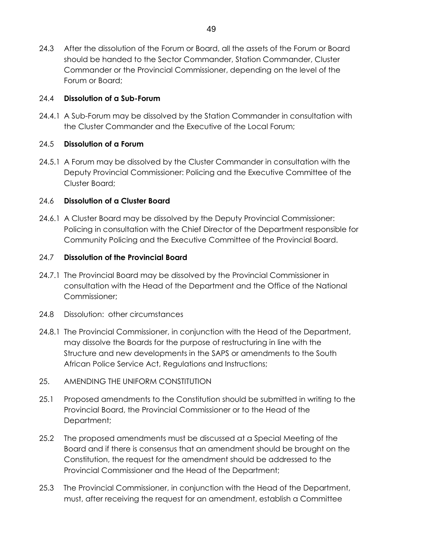24.3 After the dissolution of the Forum or Board, all the assets of the Forum or Board should be handed to the Sector Commander, Station Commander, Cluster Commander or the Provincial Commissioner, depending on the level of the Forum or Board;

## 24.4 **Dissolution of a Sub-Forum**

24.4.1 A Sub-Forum may be dissolved by the Station Commander in consultation with the Cluster Commander and the Executive of the Local Forum;

## 24.5 **Dissolution of a Forum**

24.5.1 A Forum may be dissolved by the Cluster Commander in consultation with the Deputy Provincial Commissioner: Policing and the Executive Committee of the Cluster Board;

## 24.6 **Dissolution of a Cluster Board**

24.6.1 A Cluster Board may be dissolved by the Deputy Provincial Commissioner: Policing in consultation with the Chief Director of the Department responsible for Community Policing and the Executive Committee of the Provincial Board.

## 24.7 **Dissolution of the Provincial Board**

- 24.7.1 The Provincial Board may be dissolved by the Provincial Commissioner in consultation with the Head of the Department and the Office of the National Commissioner;
- 24.8 Dissolution: other circumstances
- 24.8.1 The Provincial Commissioner, in conjunction with the Head of the Department, may dissolve the Boards for the purpose of restructuring in line with the Structure and new developments in the SAPS or amendments to the South African Police Service Act, Regulations and Instructions;
- 25. AMENDING THE UNIFORM CONSTITUTION
- 25.1 Proposed amendments to the Constitution should be submitted in writing to the Provincial Board, the Provincial Commissioner or to the Head of the Department;
- 25.2 The proposed amendments must be discussed at a Special Meeting of the Board and if there is consensus that an amendment should be brought on the Constitution, the request for the amendment should be addressed to the Provincial Commissioner and the Head of the Department;
- 25.3 The Provincial Commissioner, in conjunction with the Head of the Department, must, after receiving the request for an amendment, establish a Committee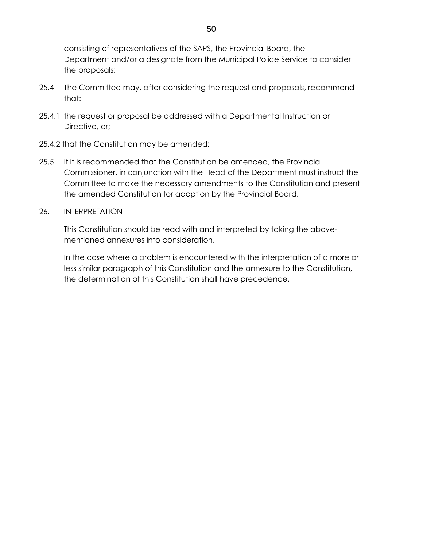consisting of representatives of the SAPS, the Provincial Board, the Department and/or a designate from the Municipal Police Service to consider the proposals;

- 25.4 The Committee may, after considering the request and proposals, recommend that:
- 25.4.1 the request or proposal be addressed with a Departmental Instruction or Directive, or:
- 25.4.2 that the Constitution may be amended;
- 25.5 If it is recommended that the Constitution be amended, the Provincial Commissioner, in conjunction with the Head of the Department must instruct the Committee to make the necessary amendments to the Constitution and present the amended Constitution for adoption by the Provincial Board.
- 26. INTERPRETATION

 This Constitution should be read with and interpreted by taking the above mentioned annexures into consideration.

 In the case where a problem is encountered with the interpretation of a more or less similar paragraph of this Constitution and the annexure to the Constitution, the determination of this Constitution shall have precedence.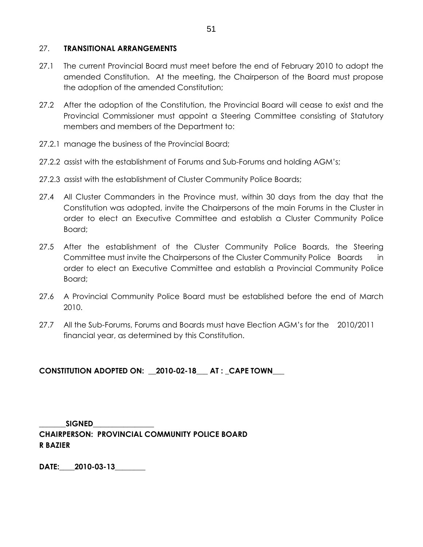### 27. **TRANSITIONAL ARRANGEMENTS**

- 27.1 The current Provincial Board must meet before the end of February 2010 to adopt the amended Constitution. At the meeting, the Chairperson of the Board must propose the adoption of the amended Constitution;
- 27.2 After the adoption of the Constitution, the Provincial Board will cease to exist and the Provincial Commissioner must appoint a Steering Committee consisting of Statutory members and members of the Department to:
- 27.2.1 manage the business of the Provincial Board;
- 27.2.2 assist with the establishment of Forums and Sub-Forums and holding AGM's;
- 27.2.3 assist with the establishment of Cluster Community Police Boards;
- 27.4 All Cluster Commanders in the Province must, within 30 days from the day that the Constitution was adopted, invite the Chairpersons of the main Forums in the Cluster in order to elect an Executive Committee and establish a Cluster Community Police Board;
- 27.5 After the establishment of the Cluster Community Police Boards, the Steering Committee must invite the Chairpersons of the Cluster Community Police Boards in order to elect an Executive Committee and establish a Provincial Community Police Board;
- 27.6 A Provincial Community Police Board must be established before the end of March 2010.
- 27.7 All the Sub-Forums, Forums and Boards must have Election AGM's for the 2010/2011 financial year, as determined by this Constitution.

## **CONSTITUTION ADOPTED ON: \_\_2010-02-18\_\_\_ AT : \_CAPE TOWN\_\_\_**

 $SIGNED$ **CHAIRPERSON: PROVINCIAL COMMUNITY POLICE BOARD R BAZIER** 

**DATE:\_\_\_\_2010-03-13\_\_\_\_\_\_\_\_**